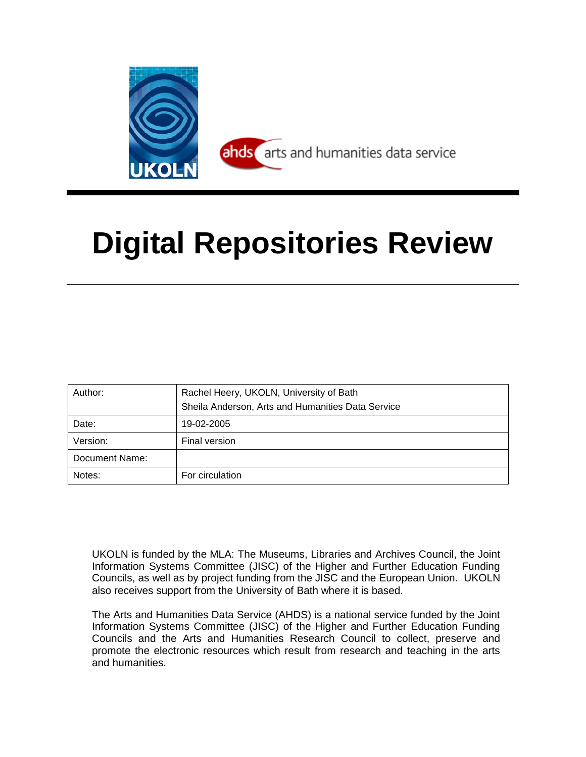

# **Digital Repositories Review**

| Author:        | Rachel Heery, UKOLN, University of Bath<br>Sheila Anderson, Arts and Humanities Data Service |  |  |  |
|----------------|----------------------------------------------------------------------------------------------|--|--|--|
| Date:          | 19-02-2005                                                                                   |  |  |  |
| Version:       | Final version                                                                                |  |  |  |
| Document Name: |                                                                                              |  |  |  |
| Notes:         | For circulation                                                                              |  |  |  |

UKOLN is funded by the MLA: The Museums, Libraries and Archives Council, the Joint Information Systems Committee (JISC) of the Higher and Further Education Funding Councils, as well as by project funding from the JISC and the European Union. UKOLN also receives support from the University of Bath where it is based.

The Arts and Humanities Data Service (AHDS) is a national service funded by the Joint Information Systems Committee (JISC) of the Higher and Further Education Funding Councils and the Arts and Humanities Research Council to collect, preserve and promote the electronic resources which result from research and teaching in the arts and humanities.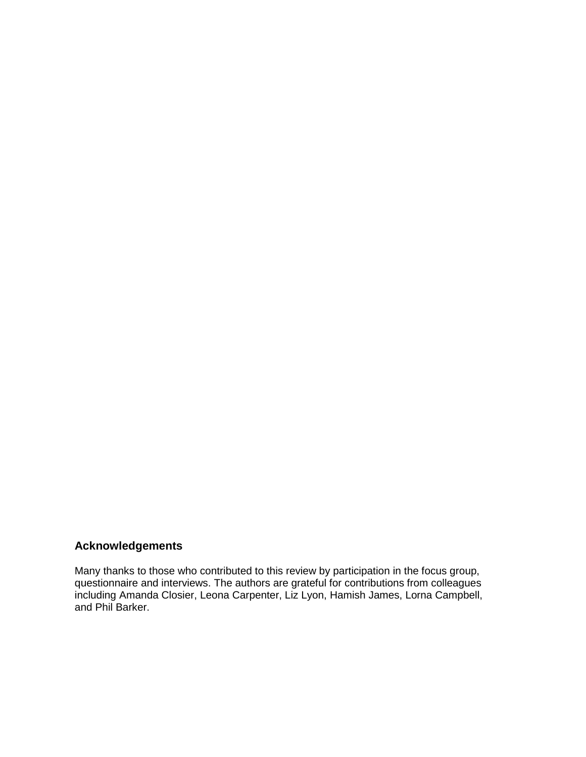## **Acknowledgements**

Many thanks to those who contributed to this review by participation in the focus group, questionnaire and interviews. The authors are grateful for contributions from colleagues including Amanda Closier, Leona Carpenter, Liz Lyon, Hamish James, Lorna Campbell, and Phil Barker.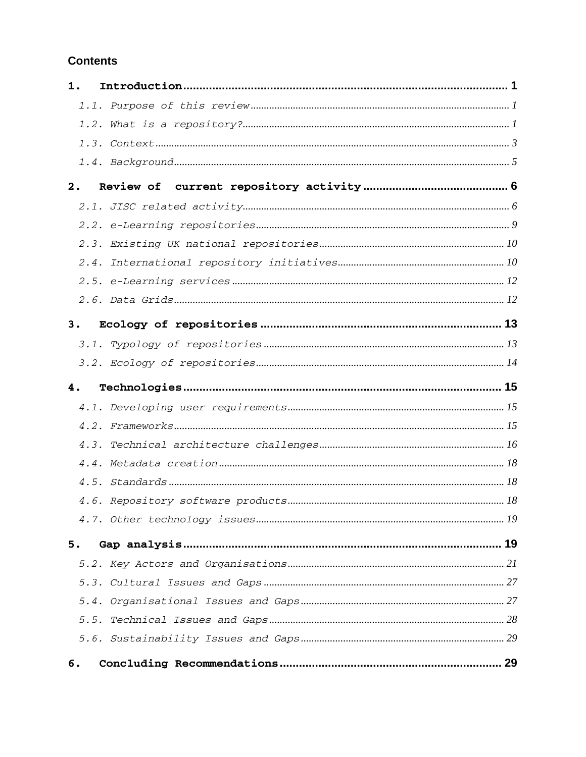## **Contents**

| 1. |  |
|----|--|
|    |  |
|    |  |
|    |  |
|    |  |
| 2. |  |
|    |  |
|    |  |
|    |  |
|    |  |
|    |  |
|    |  |
| 3. |  |
|    |  |
|    |  |
| 4. |  |
|    |  |
|    |  |
|    |  |
|    |  |
|    |  |
|    |  |
|    |  |
|    |  |
|    |  |
| 5. |  |
|    |  |
|    |  |
|    |  |
|    |  |
|    |  |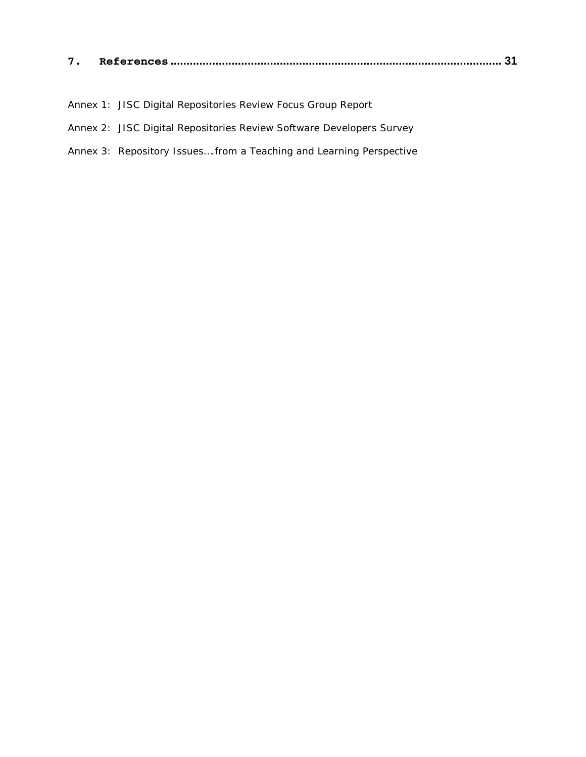| - |  |  |  |
|---|--|--|--|
|---|--|--|--|

- Annex 1: JISC Digital Repositories Review Focus Group Report
- Annex 2: JISC Digital Repositories Review Software Developers Survey
- Annex 3: Repository Issues….from a Teaching and Learning Perspective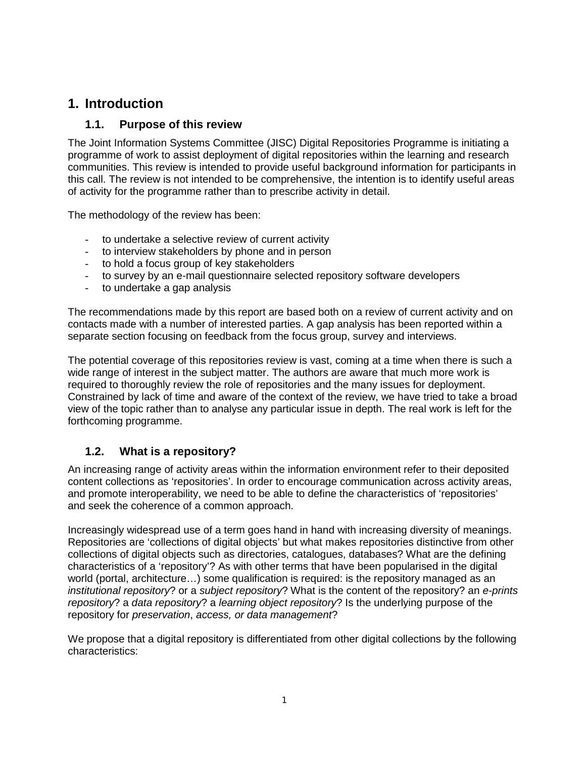## **1. Introduction**

## **1.1. Purpose of this review**

The Joint Information Systems Committee (JISC) Digital Repositories Programme is initiating a programme of work to assist deployment of digital repositories within the learning and research communities. This review is intended to provide useful background information for participants in this call. The review is not intended to be comprehensive, the intention is to identify useful areas of activity for the programme rather than to prescribe activity in detail.

The methodology of the review has been:

- to undertake a selective review of current activity
- to interview stakeholders by phone and in person
- to hold a focus group of key stakeholders
- to survey by an e-mail questionnaire selected repository software developers
- to undertake a gap analysis

The recommendations made by this report are based both on a review of current activity and on contacts made with a number of interested parties. A gap analysis has been reported within a separate section focusing on feedback from the focus group, survey and interviews.

The potential coverage of this repositories review is vast, coming at a time when there is such a wide range of interest in the subject matter. The authors are aware that much more work is required to thoroughly review the role of repositories and the many issues for deployment. Constrained by lack of time and aware of the context of the review, we have tried to take a broad view of the topic rather than to analyse any particular issue in depth. The real work is left for the forthcoming programme.

## **1.2. What is a repository?**

An increasing range of activity areas within the information environment refer to their deposited content collections as 'repositories'. In order to encourage communication across activity areas, and promote interoperability, we need to be able to define the characteristics of 'repositories' and seek the coherence of a common approach.

Increasingly widespread use of a term goes hand in hand with increasing diversity of meanings. Repositories are 'collections of digital objects' but what makes repositories distinctive from other collections of digital objects such as directories, catalogues, databases? What are the defining characteristics of a 'repository'? As with other terms that have been popularised in the digital world (portal, architecture…) some qualification is required: is the repository managed as an *institutional repository*? or a *subject repository*? What is the content of the repository? an *e-prints repository*? a *data repository*? a *learning object repository*? Is the underlying purpose of the repository for *preservation*, *access, or data management*?

We propose that a digital repository is differentiated from other digital collections by the following characteristics: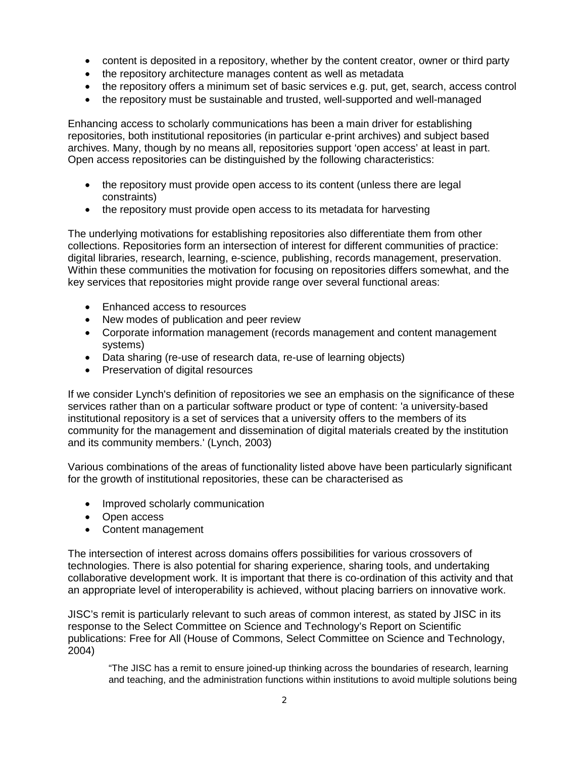- content is deposited in a repository, whether by the content creator, owner or third party
- the repository architecture manages content as well as metadata
- the repository offers a minimum set of basic services e.g. put, get, search, access control
- the repository must be sustainable and trusted, well-supported and well-managed

Enhancing access to scholarly communications has been a main driver for establishing repositories, both institutional repositories (in particular e-print archives) and subject based archives. Many, though by no means all, repositories support 'open access' at least in part. Open access repositories can be distinguished by the following characteristics:

- the repository must provide open access to its content (unless there are legal constraints)
- the repository must provide open access to its metadata for harvesting

The underlying motivations for establishing repositories also differentiate them from other collections. Repositories form an intersection of interest for different communities of practice: digital libraries, research, learning, e-science, publishing, records management, preservation. Within these communities the motivation for focusing on repositories differs somewhat, and the key services that repositories might provide range over several functional areas:

- **Enhanced access to resources**
- New modes of publication and peer review
- Corporate information management (records management and content management systems)
- Data sharing (re-use of research data, re-use of learning objects)
- Preservation of digital resources

If we consider Lynch's definition of repositories we see an emphasis on the significance of these services rather than on a particular software product or type of content: 'a university-based institutional repository is a set of services that a university offers to the members of its community for the management and dissemination of digital materials created by the institution and its community members.' (Lynch, 2003)

Various combinations of the areas of functionality listed above have been particularly significant for the growth of institutional repositories, these can be characterised as

- Improved scholarly communication
- Open access
- Content management

The intersection of interest across domains offers possibilities for various crossovers of technologies. There is also potential for sharing experience, sharing tools, and undertaking collaborative development work. It is important that there is co-ordination of this activity and that an appropriate level of interoperability is achieved, without placing barriers on innovative work.

JISC's remit is particularly relevant to such areas of common interest, as stated by JISC in its response to the Select Committee on Science and Technology's Report on Scientific publications: Free for All (House of Commons, Select Committee on Science and Technology, 2004)

"The JISC has a remit to ensure joined-up thinking across the boundaries of research, learning and teaching, and the administration functions within institutions to avoid multiple solutions being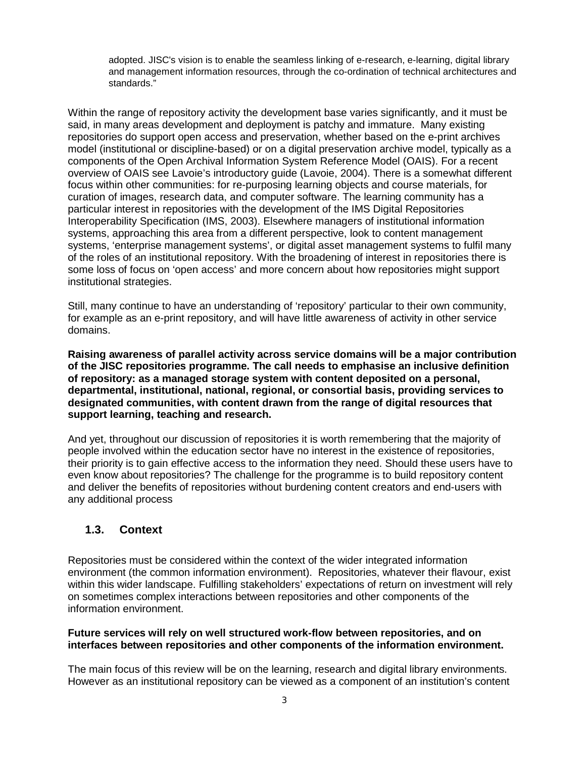adopted. JISC's vision is to enable the seamless linking of e-research, e-learning, digital library and management information resources, through the co-ordination of technical architectures and standards."

Within the range of repository activity the development base varies significantly, and it must be said, in many areas development and deployment is patchy and immature. Many existing repositories do support open access and preservation, whether based on the e-print archives model (institutional or discipline-based) or on a digital preservation archive model, typically as a components of the Open Archival Information System Reference Model (OAIS). For a recent overview of OAIS see Lavoie's introductory guide (Lavoie, 2004). There is a somewhat different focus within other communities: for re-purposing learning objects and course materials, for curation of images, research data, and computer software. The learning community has a particular interest in repositories with the development of the IMS Digital Repositories Interoperability Specification (IMS, 2003). Elsewhere managers of institutional information systems, approaching this area from a different perspective, look to content management systems, 'enterprise management systems', or digital asset management systems to fulfil many of the roles of an institutional repository. With the broadening of interest in repositories there is some loss of focus on 'open access' and more concern about how repositories might support institutional strategies.

Still, many continue to have an understanding of 'repository' particular to their own community, for example as an e-print repository, and will have little awareness of activity in other service domains.

**Raising awareness of parallel activity across service domains will be a major contribution of the JISC repositories programme. The call needs to emphasise an inclusive definition of repository: as a managed storage system with content deposited on a personal, departmental, institutional, national, regional, or consortial basis, providing services to designated communities, with content drawn from the range of digital resources that support learning, teaching and research.** 

And yet, throughout our discussion of repositories it is worth remembering that the majority of people involved within the education sector have no interest in the existence of repositories, their priority is to gain effective access to the information they need. Should these users have to even know about repositories? The challenge for the programme is to build repository content and deliver the benefits of repositories without burdening content creators and end-users with any additional process

#### **1.3. Context**

Repositories must be considered within the context of the wider integrated information environment (the common information environment). Repositories, whatever their flavour, exist within this wider landscape. Fulfilling stakeholders' expectations of return on investment will rely on sometimes complex interactions between repositories and other components of the information environment.

#### **Future services will rely on well structured work-flow between repositories, and on interfaces between repositories and other components of the information environment.**

The main focus of this review will be on the learning, research and digital library environments. However as an institutional repository can be viewed as a component of an institution's content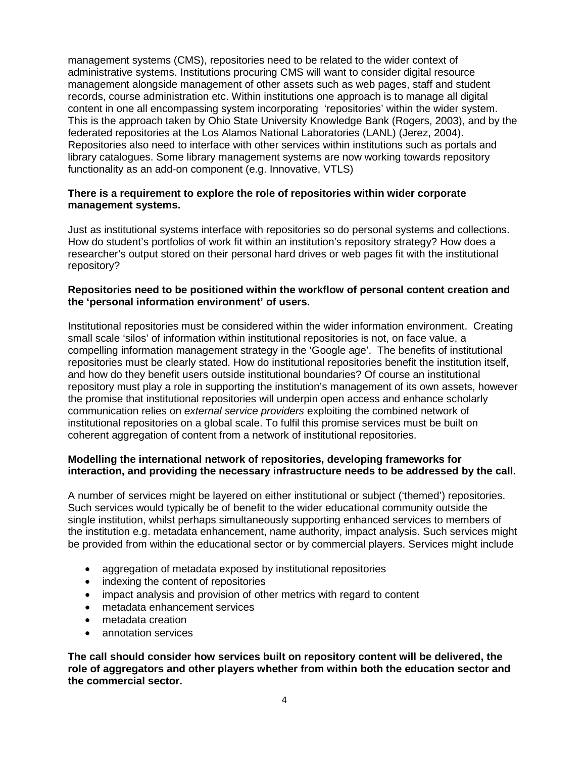management systems (CMS), repositories need to be related to the wider context of administrative systems. Institutions procuring CMS will want to consider digital resource management alongside management of other assets such as web pages, staff and student records, course administration etc. Within institutions one approach is to manage all digital content in one all encompassing system incorporating 'repositories' within the wider system. This is the approach taken by Ohio State University Knowledge Bank (Rogers, 2003), and by the federated repositories at the Los Alamos National Laboratories (LANL) (Jerez, 2004). Repositories also need to interface with other services within institutions such as portals and library catalogues. Some library management systems are now working towards repository functionality as an add-on component (e.g. Innovative, VTLS)

#### **There is a requirement to explore the role of repositories within wider corporate management systems.**

Just as institutional systems interface with repositories so do personal systems and collections. How do student's portfolios of work fit within an institution's repository strategy? How does a researcher's output stored on their personal hard drives or web pages fit with the institutional repository?

#### **Repositories need to be positioned within the workflow of personal content creation and the 'personal information environment' of users.**

Institutional repositories must be considered within the wider information environment. Creating small scale 'silos' of information within institutional repositories is not, on face value, a compelling information management strategy in the 'Google age'. The benefits of institutional repositories must be clearly stated. How do institutional repositories benefit the institution itself, and how do they benefit users outside institutional boundaries? Of course an institutional repository must play a role in supporting the institution's management of its own assets, however the promise that institutional repositories will underpin open access and enhance scholarly communication relies on *external service providers* exploiting the combined network of institutional repositories on a global scale. To fulfil this promise services must be built on coherent aggregation of content from a network of institutional repositories.

#### **Modelling the international network of repositories, developing frameworks for interaction, and providing the necessary infrastructure needs to be addressed by the call.**

A number of services might be layered on either institutional or subject ('themed') repositories. Such services would typically be of benefit to the wider educational community outside the single institution, whilst perhaps simultaneously supporting enhanced services to members of the institution e.g. metadata enhancement, name authority, impact analysis. Such services might be provided from within the educational sector or by commercial players. Services might include

- aggregation of metadata exposed by institutional repositories
- indexing the content of repositories
- impact analysis and provision of other metrics with regard to content
- metadata enhancement services
- metadata creation
- annotation services

**The call should consider how services built on repository content will be delivered, the role of aggregators and other players whether from within both the education sector and the commercial sector.**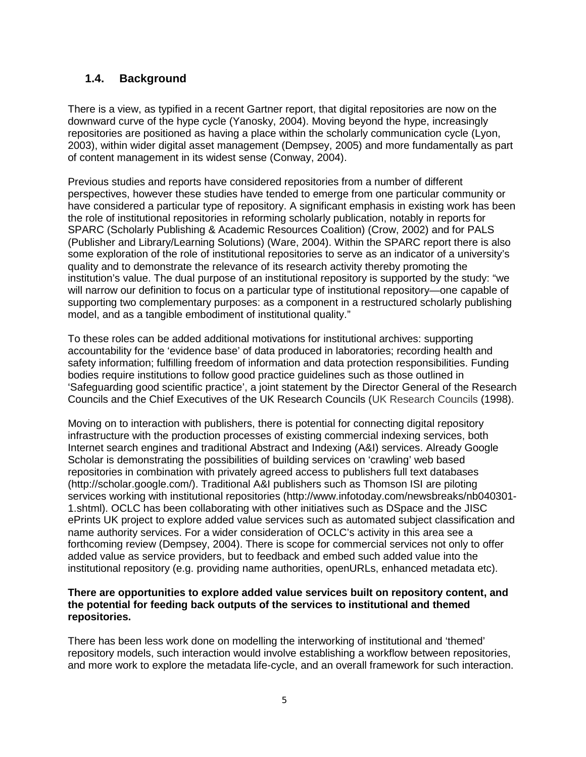## **1.4. Background**

There is a view, as typified in a recent Gartner report, that digital repositories are now on the downward curve of the hype cycle (Yanosky, 2004). Moving beyond the hype, increasingly repositories are positioned as having a place within the scholarly communication cycle (Lyon, 2003), within wider digital asset management (Dempsey, 2005) and more fundamentally as part of content management in its widest sense (Conway, 2004).

Previous studies and reports have considered repositories from a number of different perspectives, however these studies have tended to emerge from one particular community or have considered a particular type of repository. A significant emphasis in existing work has been the role of institutional repositories in reforming scholarly publication, notably in reports for SPARC (Scholarly Publishing & Academic Resources Coalition) (Crow, 2002) and for PALS (Publisher and Library/Learning Solutions) (Ware, 2004). Within the SPARC report there is also some exploration of the role of institutional repositories to serve as an indicator of a university's quality and to demonstrate the relevance of its research activity thereby promoting the institution's value. The dual purpose of an institutional repository is supported by the study: "we will narrow our definition to focus on a particular type of institutional repository—one capable of supporting two complementary purposes: as a component in a restructured scholarly publishing model, and as a tangible embodiment of institutional quality."

To these roles can be added additional motivations for institutional archives: supporting accountability for the 'evidence base' of data produced in laboratories; recording health and safety information; fulfilling freedom of information and data protection responsibilities. Funding bodies require institutions to follow good practice guidelines such as those outlined in 'Safeguarding good scientific practice', a joint statement by the Director General of the Research Councils and the Chief Executives of the UK Research Councils (UK Research Councils (1998).

Moving on to interaction with publishers, there is potential for connecting digital repository infrastructure with the production processes of existing commercial indexing services, both Internet search engines and traditional Abstract and Indexing (A&I) services. Already Google Scholar is demonstrating the possibilities of building services on 'crawling' web based repositories in combination with privately agreed access to publishers full text databases (http://scholar.google.com/). Traditional A&I publishers such as Thomson ISI are piloting services working with institutional repositories (http://www.infotoday.com/newsbreaks/nb040301- 1.shtml). OCLC has been collaborating with other initiatives such as DSpace and the JISC ePrints UK project to explore added value services such as automated subject classification and name authority services. For a wider consideration of OCLC's activity in this area see a forthcoming review (Dempsey, 2004). There is scope for commercial services not only to offer added value as service providers, but to feedback and embed such added value into the institutional repository (e.g. providing name authorities, openURLs, enhanced metadata etc).

#### **There are opportunities to explore added value services built on repository content, and the potential for feeding back outputs of the services to institutional and themed repositories.**

There has been less work done on modelling the interworking of institutional and 'themed' repository models, such interaction would involve establishing a workflow between repositories, and more work to explore the metadata life-cycle, and an overall framework for such interaction.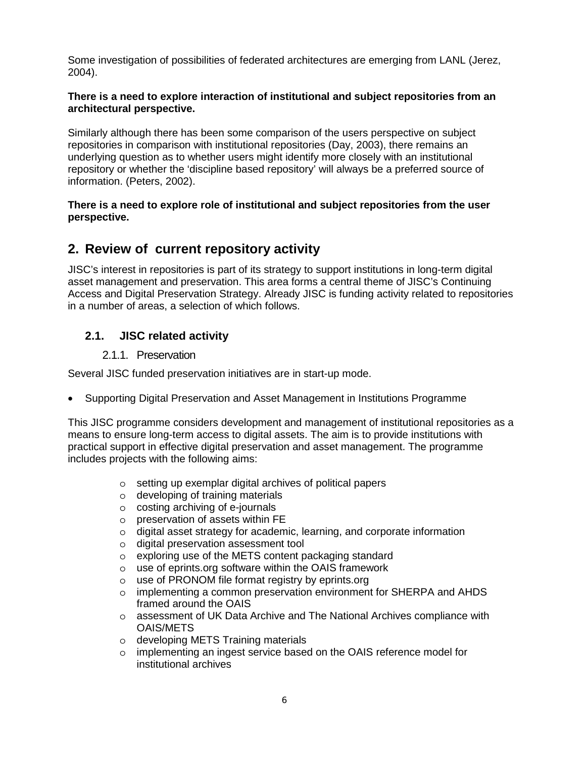Some investigation of possibilities of federated architectures are emerging from LANL (Jerez, 2004).

#### **There is a need to explore interaction of institutional and subject repositories from an architectural perspective.**

Similarly although there has been some comparison of the users perspective on subject repositories in comparison with institutional repositories (Day, 2003), there remains an underlying question as to whether users might identify more closely with an institutional repository or whether the 'discipline based repository' will always be a preferred source of information. (Peters, 2002).

#### **There is a need to explore role of institutional and subject repositories from the user perspective.**

## **2. Review of current repository activity**

JISC's interest in repositories is part of its strategy to support institutions in long-term digital asset management and preservation. This area forms a central theme of JISC's Continuing Access and Digital Preservation Strategy. Already JISC is funding activity related to repositories in a number of areas, a selection of which follows.

## **2.1. JISC related activity**

#### 2.1.1. Preservation

Several JISC funded preservation initiatives are in start-up mode.

• Supporting Digital Preservation and Asset Management in Institutions Programme

This JISC programme considers development and management of institutional repositories as a means to ensure long-term access to digital assets. The aim is to provide institutions with practical support in effective digital preservation and asset management. The programme includes projects with the following aims:

- o setting up exemplar digital archives of political papers
- o developing of training materials
- o costing archiving of e-journals
- o preservation of assets within FE
- o digital asset strategy for academic, learning, and corporate information
- o digital preservation assessment tool
- o exploring use of the METS content packaging standard
- o use of eprints.org software within the OAIS framework
- o use of PRONOM file format registry by eprints.org
- o implementing a common preservation environment for SHERPA and AHDS framed around the OAIS
- o assessment of UK Data Archive and The National Archives compliance with OAIS/METS
- o developing METS Training materials
- o implementing an ingest service based on the OAIS reference model for institutional archives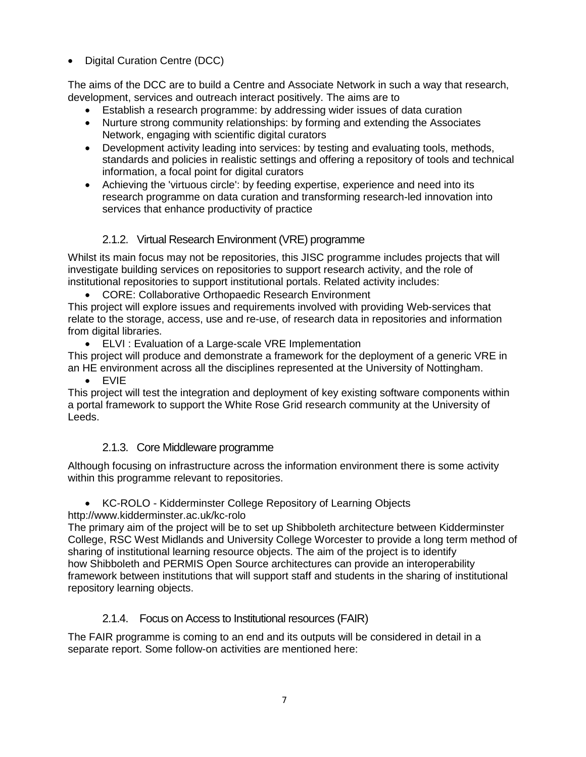• Digital Curation Centre (DCC)

The aims of the DCC are to build a Centre and Associate Network in such a way that research, development, services and outreach interact positively. The aims are to

- Establish a research programme: by addressing wider issues of data curation
- Nurture strong community relationships: by forming and extending the Associates Network, engaging with scientific digital curators
- Development activity leading into services: by testing and evaluating tools, methods, standards and policies in realistic settings and offering a repository of tools and technical information, a focal point for digital curators
- Achieving the 'virtuous circle': by feeding expertise, experience and need into its research programme on data curation and transforming research-led innovation into services that enhance productivity of practice

## 2.1.2. Virtual Research Environment (VRE) programme

Whilst its main focus may not be repositories, this JISC programme includes projects that will investigate building services on repositories to support research activity, and the role of institutional repositories to support institutional portals. Related activity includes:

• CORE: Collaborative Orthopaedic Research Environment

This project will explore issues and requirements involved with providing Web-services that relate to the storage, access, use and re-use, of research data in repositories and information from digital libraries.

• ELVI : Evaluation of a Large-scale VRE Implementation

This project will produce and demonstrate a framework for the deployment of a generic VRE in an HE environment across all the disciplines represented at the University of Nottingham.

• EVIE

This project will test the integration and deployment of key existing software components within a portal framework to support the White Rose Grid research community at the University of Leeds.

## 2.1.3. Core Middleware programme

Although focusing on infrastructure across the information environment there is some activity within this programme relevant to repositories.

• KC-ROLO - Kidderminster College Repository of Learning Objects

http://www.kidderminster.ac.uk/kc-rolo

The primary aim of the project will be to set up Shibboleth architecture between Kidderminster College, RSC West Midlands and University College Worcester to provide a long term method of sharing of institutional learning resource objects. The aim of the project is to identify how Shibboleth and PERMIS Open Source architectures can provide an interoperability framework between institutions that will support staff and students in the sharing of institutional repository learning objects.

## 2.1.4. Focus on Access to Institutional resources (FAIR)

The FAIR programme is coming to an end and its outputs will be considered in detail in a separate report. Some follow-on activities are mentioned here: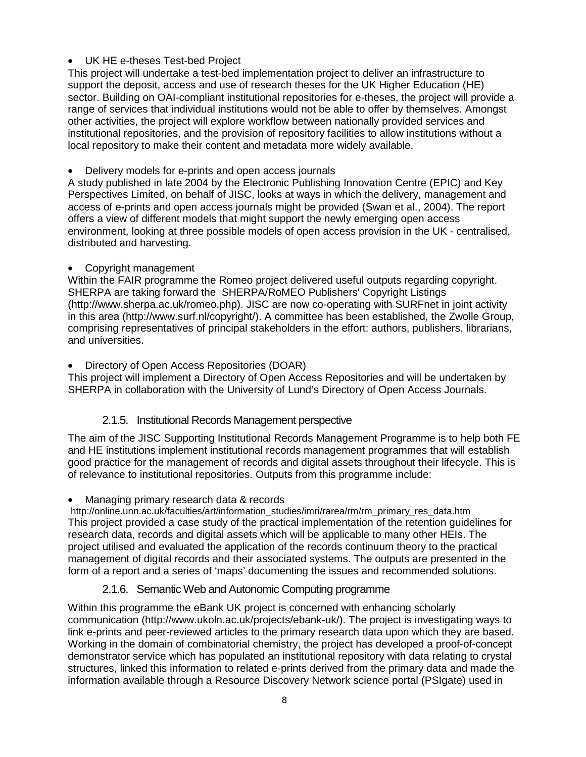#### • UK HE e-theses Test-bed Project

This project will undertake a test-bed implementation project to deliver an infrastructure to support the deposit, access and use of research theses for the UK Higher Education (HE) sector. Building on OAI-compliant institutional repositories for e-theses, the project will provide a range of services that individual institutions would not be able to offer by themselves. Amongst other activities, the project will explore workflow between nationally provided services and institutional repositories, and the provision of repository facilities to allow institutions without a local repository to make their content and metadata more widely available.

• Delivery models for e-prints and open access journals

A study published in late 2004 by the Electronic Publishing Innovation Centre (EPIC) and Key Perspectives Limited, on behalf of JISC, looks at ways in which the delivery, management and access of e-prints and open access journals might be provided (Swan et al., 2004). The report offers a view of different models that might support the newly emerging open access environment, looking at three possible models of open access provision in the UK - centralised, distributed and harvesting.

#### • Copyright management

Within the FAIR programme the Romeo project delivered useful outputs regarding copyright. SHERPA are taking forward the SHERPA/RoMEO Publishers' Copyright Listings (http://www.sherpa.ac.uk/romeo.php). JISC are now co-operating with SURFnet in joint activity in this area (http://www.surf.nl/copyright/). A committee has been established, the Zwolle Group, comprising representatives of principal stakeholders in the effort: authors, publishers, librarians, and universities.

#### • Directory of Open Access Repositories (DOAR)

This project will implement a Directory of Open Access Repositories and will be undertaken by SHERPA in collaboration with the University of Lund's Directory of Open Access Journals.

#### 2.1.5. Institutional Records Management perspective

The aim of the JISC Supporting Institutional Records Management Programme is to help both FE and HE institutions implement institutional records management programmes that will establish good practice for the management of records and digital assets throughout their lifecycle. This is of relevance to institutional repositories. Outputs from this programme include:

#### • Managing primary research data & records

http://online.unn.ac.uk/faculties/art/information\_studies/imri/rarea/rm/rm\_primary\_res\_data.htm This project provided a case study of the practical implementation of the retention guidelines for research data, records and digital assets which will be applicable to many other HEIs. The project utilised and evaluated the application of the records continuum theory to the practical management of digital records and their associated systems. The outputs are presented in the form of a report and a series of 'maps' documenting the issues and recommended solutions.

## 2.1.6. Semantic Web and Autonomic Computing programme

Within this programme the eBank UK project is concerned with enhancing scholarly communication (http://www.ukoln.ac.uk/projects/ebank-uk/). The project is investigating ways to link e-prints and peer-reviewed articles to the primary research data upon which they are based. Working in the domain of combinatorial chemistry, the project has developed a proof-of-concept demonstrator service which has populated an institutional repository with data relating to crystal structures, linked this information to related e-prints derived from the primary data and made the information available through a Resource Discovery Network science portal (PSIgate) used in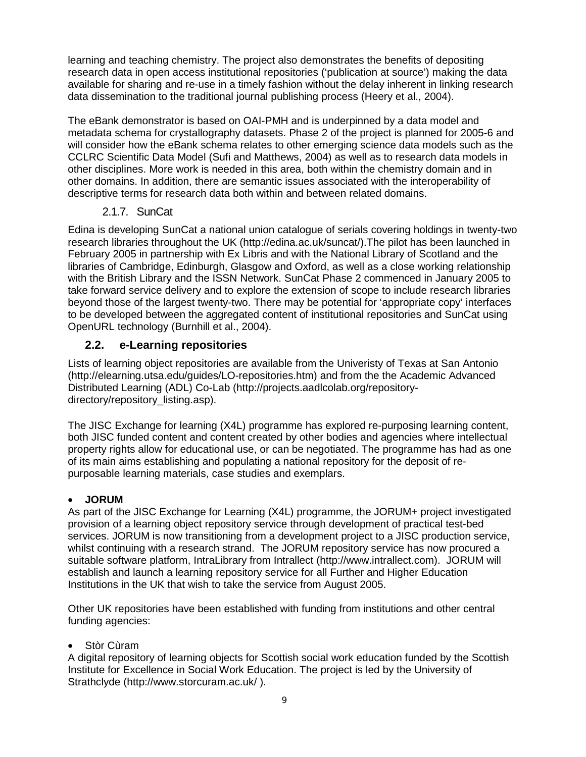learning and teaching chemistry. The project also demonstrates the benefits of depositing research data in open access institutional repositories ('publication at source') making the data available for sharing and re-use in a timely fashion without the delay inherent in linking research data dissemination to the traditional journal publishing process (Heery et al., 2004).

The eBank demonstrator is based on OAI-PMH and is underpinned by a data model and metadata schema for crystallography datasets. Phase 2 of the project is planned for 2005-6 and will consider how the eBank schema relates to other emerging science data models such as the CCLRC Scientific Data Model (Sufi and Matthews, 2004) as well as to research data models in other disciplines. More work is needed in this area, both within the chemistry domain and in other domains. In addition, there are semantic issues associated with the interoperability of descriptive terms for research data both within and between related domains.

#### 2.1.7. SunCat

Edina is developing SunCat a national union catalogue of serials covering holdings in twenty-two research libraries throughout the UK (http://edina.ac.uk/suncat/).The pilot has been launched in February 2005 in partnership with Ex Libris and with the National Library of Scotland and the libraries of Cambridge, Edinburgh, Glasgow and Oxford, as well as a close working relationship with the British Library and the ISSN Network. SunCat Phase 2 commenced in January 2005 to take forward service delivery and to explore the extension of scope to include research libraries beyond those of the largest twenty-two. There may be potential for 'appropriate copy' interfaces to be developed between the aggregated content of institutional repositories and SunCat using OpenURL technology (Burnhill et al., 2004).

## **2.2. e-Learning repositories**

Lists of learning object repositories are available from the Univeristy of Texas at San Antonio (http://elearning.utsa.edu/guides/LO-repositories.htm) and from the the Academic Advanced Distributed Learning (ADL) Co-Lab (http://projects.aadlcolab.org/repositorydirectory/repository\_listing.asp).

The JISC Exchange for learning (X4L) programme has explored re-purposing learning content, both JISC funded content and content created by other bodies and agencies where intellectual property rights allow for educational use, or can be negotiated. The programme has had as one of its main aims establishing and populating a national repository for the deposit of repurposable learning materials, case studies and exemplars.

#### • **JORUM**

As part of the JISC Exchange for Learning (X4L) programme, the JORUM+ project investigated provision of a learning object repository service through development of practical test-bed services. JORUM is now transitioning from a development project to a JISC production service, whilst continuing with a research strand. The JORUM repository service has now procured a suitable software platform, IntraLibrary from Intrallect (http://www.intrallect.com). JORUM will establish and launch a learning repository service for all Further and Higher Education Institutions in the UK that wish to take the service from August 2005.

Other UK repositories have been established with funding from institutions and other central funding agencies:

#### Stòr Cùram

A digital repository of learning objects for Scottish social work education funded by the Scottish Institute for Excellence in Social Work Education. The project is led by the University of Strathclyde (http://www.storcuram.ac.uk/ ).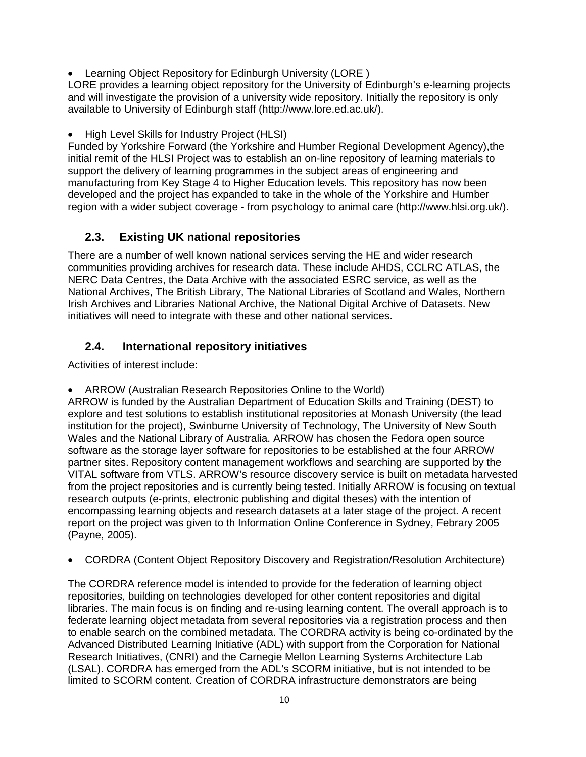• Learning Object Repository for Edinburgh University (LORE )

LORE provides a learning object repository for the University of Edinburgh's e-learning projects and will investigate the provision of a university wide repository. Initially the repository is only available to University of Edinburgh staff (http://www.lore.ed.ac.uk/).

• High Level Skills for Industry Project (HLSI)

Funded by Yorkshire Forward (the Yorkshire and Humber Regional Development Agency),the initial remit of the HLSI Project was to establish an on-line repository of learning materials to support the delivery of learning programmes in the subject areas of engineering and manufacturing from Key Stage 4 to Higher Education levels. This repository has now been developed and the project has expanded to take in the whole of the Yorkshire and Humber region with a wider subject coverage - from psychology to animal care (http://www.hlsi.org.uk/).

## **2.3. Existing UK national repositories**

There are a number of well known national services serving the HE and wider research communities providing archives for research data. These include AHDS, CCLRC ATLAS, the NERC Data Centres, the Data Archive with the associated ESRC service, as well as the National Archives, The British Library, The National Libraries of Scotland and Wales, Northern Irish Archives and Libraries National Archive, the National Digital Archive of Datasets. New initiatives will need to integrate with these and other national services.

## **2.4. International repository initiatives**

Activities of interest include:

• ARROW (Australian Research Repositories Online to the World)

ARROW is funded by the Australian Department of Education Skills and Training (DEST) to explore and test solutions to establish institutional repositories at Monash University (the lead institution for the project), Swinburne University of Technology, The University of New South Wales and the National Library of Australia. ARROW has chosen the Fedora open source software as the storage layer software for repositories to be established at the four ARROW partner sites. Repository content management workflows and searching are supported by the VITAL software from VTLS. ARROW's resource discovery service is built on metadata harvested from the project repositories and is currently being tested. Initially ARROW is focusing on textual research outputs (e-prints, electronic publishing and digital theses) with the intention of encompassing learning objects and research datasets at a later stage of the project. A recent report on the project was given to th Information Online Conference in Sydney, Febrary 2005 (Payne, 2005).

• CORDRA (Content Object Repository Discovery and Registration/Resolution Architecture)

The CORDRA reference model is intended to provide for the federation of learning object repositories, building on technologies developed for other content repositories and digital libraries. The main focus is on finding and re-using learning content. The overall approach is to federate learning object metadata from several repositories via a registration process and then to enable search on the combined metadata. The CORDRA activity is being co-ordinated by the Advanced Distributed Learning Initiative (ADL) with support from the Corporation for National Research Initiatives, (CNRI) and the Carnegie Mellon Learning Systems Architecture Lab (LSAL). CORDRA has emerged from the ADL's SCORM initiative, but is not intended to be limited to SCORM content. Creation of CORDRA infrastructure demonstrators are being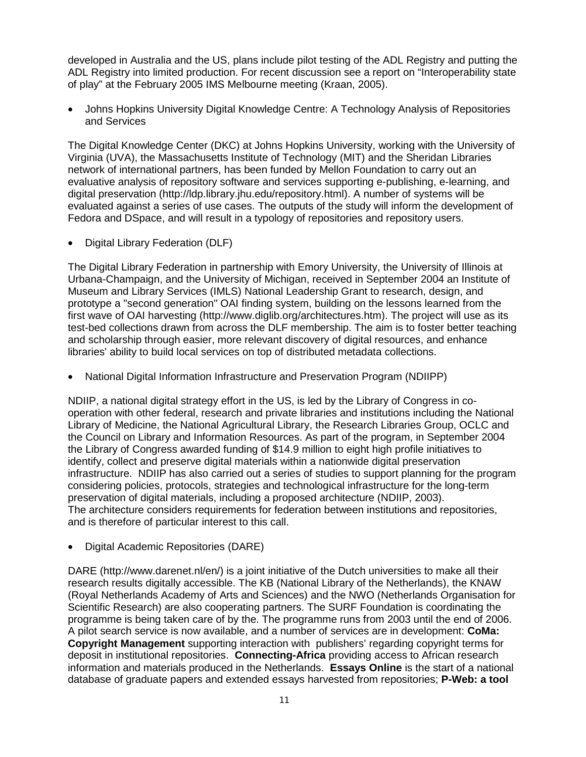developed in Australia and the US, plans include pilot testing of the ADL Registry and putting the ADL Registry into limited production. For recent discussion see a report on "Interoperability state of play" at the February 2005 IMS Melbourne meeting (Kraan, 2005).

• Johns Hopkins University Digital Knowledge Centre: A Technology Analysis of Repositories and Services

The Digital Knowledge Center (DKC) at Johns Hopkins University, working with the University of Virginia (UVA), the Massachusetts Institute of Technology (MIT) and the Sheridan Libraries network of international partners, has been funded by Mellon Foundation to carry out an evaluative analysis of repository software and services supporting e-publishing, e-learning, and digital preservation (http://ldp.library.jhu.edu/repository.html). A number of systems will be evaluated against a series of use cases. The outputs of the study will inform the development of Fedora and DSpace, and will result in a typology of repositories and repository users.

• Digital Library Federation (DLF)

The Digital Library Federation in partnership with Emory University, the University of Illinois at Urbana-Champaign, and the University of Michigan, received in September 2004 an Institute of Museum and Library Services (IMLS) National Leadership Grant to research, design, and prototype a "second generation" OAI finding system, building on the lessons learned from the first wave of OAI harvesting (http://www.diglib.org/architectures.htm). The project will use as its test-bed collections drawn from across the DLF membership. The aim is to foster better teaching and scholarship through easier, more relevant discovery of digital resources, and enhance libraries' ability to build local services on top of distributed metadata collections.

• National Digital Information Infrastructure and Preservation Program (NDIIPP)

NDIIP, a national digital strategy effort in the US, is led by the Library of Congress in cooperation with other federal, research and private libraries and institutions including the National Library of Medicine, the National Agricultural Library, the Research Libraries Group, OCLC and the Council on Library and Information Resources. As part of the program, in September 2004 the Library of Congress awarded funding of \$14.9 million to eight high profile initiatives to identify, collect and preserve digital materials within a nationwide digital preservation infrastructure. NDIIP has also carried out a series of studies to support planning for the program considering policies, protocols, strategies and technological infrastructure for the long-term preservation of digital materials, including a proposed architecture (NDIIP, 2003). The architecture considers requirements for federation between institutions and repositories, and is therefore of particular interest to this call.

• Digital Academic Repositories (DARE)

DARE (http://www.darenet.nl/en/) is a joint initiative of the Dutch universities to make all their research results digitally accessible. The KB (National Library of the Netherlands), the KNAW (Royal Netherlands Academy of Arts and Sciences) and the NWO (Netherlands Organisation for Scientific Research) are also cooperating partners. The SURF Foundation is coordinating the programme is being taken care of by the. The programme runs from 2003 until the end of 2006. A pilot search service is now available, and a number of services are in development: **CoMa: Copyright Management** supporting interaction with publishers' regarding copyright terms for deposit in institutional repositories. **Connecting-Africa** providing access to African research information and materials produced in the Netherlands. **Essays Online** is the start of a national database of graduate papers and extended essays harvested from repositories; **P-Web: a tool**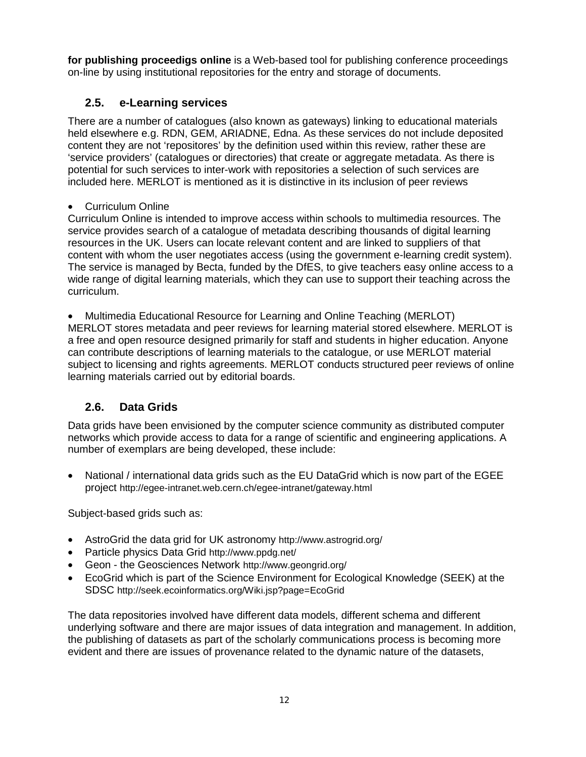**for publishing proceedigs online** is a Web-based tool for publishing conference proceedings on-line by using institutional repositories for the entry and storage of documents.

## **2.5. e-Learning services**

There are a number of catalogues (also known as gateways) linking to educational materials held elsewhere e.g. RDN, GEM, ARIADNE, Edna. As these services do not include deposited content they are not 'repositores' by the definition used within this review, rather these are 'service providers' (catalogues or directories) that create or aggregate metadata. As there is potential for such services to inter-work with repositories a selection of such services are included here. MERLOT is mentioned as it is distinctive in its inclusion of peer reviews

## • Curriculum Online

Curriculum Online is intended to improve access within schools to multimedia resources. The service provides search of a catalogue of metadata describing thousands of digital learning resources in the UK. Users can locate relevant content and are linked to suppliers of that content with whom the user negotiates access (using the government e-learning credit system). The service is managed by Becta, funded by the DfES, to give teachers easy online access to a wide range of digital learning materials, which they can use to support their teaching across the curriculum.

• Multimedia Educational Resource for Learning and Online Teaching (MERLOT) MERLOT stores metadata and peer reviews for learning material stored elsewhere. MERLOT is a free and open resource designed primarily for staff and students in higher education. Anyone can contribute descriptions of learning materials to the catalogue, or use MERLOT material subject to licensing and rights agreements. MERLOT conducts structured peer reviews of online learning materials carried out by editorial boards.

## **2.6. Data Grids**

Data grids have been envisioned by the computer science community as distributed computer networks which provide access to data for a range of scientific and engineering applications. A number of exemplars are being developed, these include:

• National / international data grids such as the EU DataGrid which is now part of the EGEE project http://egee-intranet.web.cern.ch/egee-intranet/gateway.html

Subject-based grids such as:

- AstroGrid the data grid for UK astronomy http://www.astrogrid.org/
- Particle physics Data Grid http://www.ppdg.net/
- Geon the Geosciences Network http://www.geongrid.org/
- EcoGrid which is part of the Science Environment for Ecological Knowledge (SEEK) at the SDSC http://seek.ecoinformatics.org/Wiki.jsp?page=EcoGrid

The data repositories involved have different data models, different schema and different underlying software and there are major issues of data integration and management. In addition, the publishing of datasets as part of the scholarly communications process is becoming more evident and there are issues of provenance related to the dynamic nature of the datasets,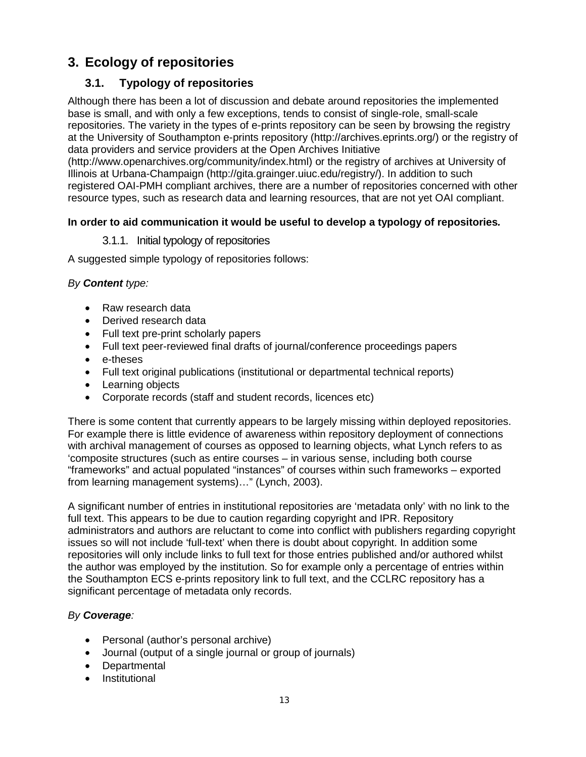## **3. Ecology of repositories**

## **3.1. Typology of repositories**

Although there has been a lot of discussion and debate around repositories the implemented base is small, and with only a few exceptions, tends to consist of single-role, small-scale repositories. The variety in the types of e-prints repository can be seen by browsing the registry at the University of Southampton e-prints repository (http://archives.eprints.org/) or the registry of data providers and service providers at the Open Archives Initiative

(http://www.openarchives.org/community/index.html) or the registry of archives at University of Illinois at Urbana-Champaign (http://gita.grainger.uiuc.edu/registry/). In addition to such registered OAI-PMH compliant archives, there are a number of repositories concerned with other resource types, such as research data and learning resources, that are not yet OAI compliant.

#### **In order to aid communication it would be useful to develop a typology of repositories***.*

#### 3.1.1. Initial typology of repositories

A suggested simple typology of repositories follows:

#### *By Content type:*

- Raw research data
- Derived research data
- Full text pre-print scholarly papers
- Full text peer-reviewed final drafts of journal/conference proceedings papers
- e-theses
- Full text original publications (institutional or departmental technical reports)
- Learning objects
- Corporate records (staff and student records, licences etc)

There is some content that currently appears to be largely missing within deployed repositories. For example there is little evidence of awareness within repository deployment of connections with archival management of courses as opposed to learning objects, what Lynch refers to as 'composite structures (such as entire courses – in various sense, including both course "frameworks" and actual populated "instances" of courses within such frameworks – exported from learning management systems)…" (Lynch, 2003).

A significant number of entries in institutional repositories are 'metadata only' with no link to the full text. This appears to be due to caution regarding copyright and IPR. Repository administrators and authors are reluctant to come into conflict with publishers regarding copyright issues so will not include 'full-text' when there is doubt about copyright. In addition some repositories will only include links to full text for those entries published and/or authored whilst the author was employed by the institution. So for example only a percentage of entries within the Southampton ECS e-prints repository link to full text, and the CCLRC repository has a significant percentage of metadata only records.

#### *By Coverage:*

- Personal (author's personal archive)
- Journal (output of a single journal or group of journals)
- Departmental
- Institutional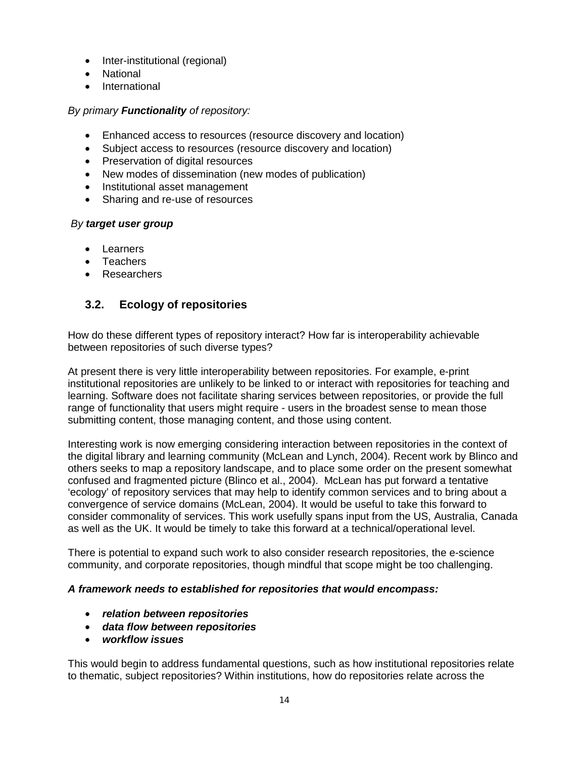- Inter-institutional (regional)
- National
- International

#### *By primary Functionality of repository:*

- Enhanced access to resources (resource discovery and location)
- Subject access to resources (resource discovery and location)
- Preservation of digital resources
- New modes of dissemination (new modes of publication)
- Institutional asset management
- Sharing and re-use of resources

#### *By target user group*

- Learners
- Teachers
- Researchers

## **3.2. Ecology of repositories**

How do these different types of repository interact? How far is interoperability achievable between repositories of such diverse types?

At present there is very little interoperability between repositories. For example, e-print institutional repositories are unlikely to be linked to or interact with repositories for teaching and learning. Software does not facilitate sharing services between repositories, or provide the full range of functionality that users might require - users in the broadest sense to mean those submitting content, those managing content, and those using content.

Interesting work is now emerging considering interaction between repositories in the context of the digital library and learning community (McLean and Lynch, 2004). Recent work by Blinco and others seeks to map a repository landscape, and to place some order on the present somewhat confused and fragmented picture (Blinco et al., 2004). McLean has put forward a tentative 'ecology' of repository services that may help to identify common services and to bring about a convergence of service domains (McLean, 2004). It would be useful to take this forward to consider commonality of services. This work usefully spans input from the US, Australia, Canada as well as the UK. It would be timely to take this forward at a technical/operational level.

There is potential to expand such work to also consider research repositories, the e-science community, and corporate repositories, though mindful that scope might be too challenging.

#### *A framework needs to established for repositories that would encompass:*

- *relation between repositories*
- *data flow between repositories*
- *workflow issues*

This would begin to address fundamental questions, such as how institutional repositories relate to thematic, subject repositories? Within institutions, how do repositories relate across the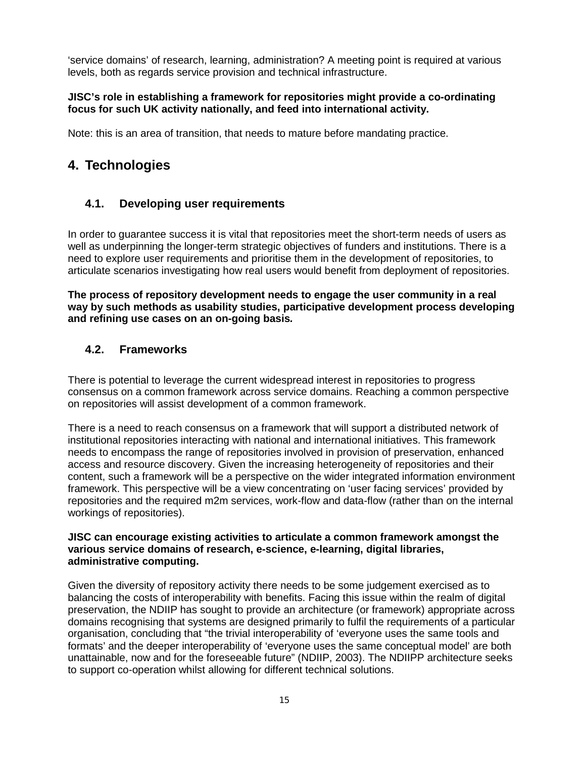'service domains' of research, learning, administration? A meeting point is required at various levels, both as regards service provision and technical infrastructure.

#### **JISC's role in establishing a framework for repositories might provide a co-ordinating focus for such UK activity nationally, and feed into international activity.**

Note: this is an area of transition, that needs to mature before mandating practice.

## **4. Technologies**

## **4.1. Developing user requirements**

In order to guarantee success it is vital that repositories meet the short-term needs of users as well as underpinning the longer-term strategic objectives of funders and institutions. There is a need to explore user requirements and prioritise them in the development of repositories, to articulate scenarios investigating how real users would benefit from deployment of repositories.

**The process of repository development needs to engage the user community in a real way by such methods as usability studies, participative development process developing and refining use cases on an on-going basis***.* 

## **4.2. Frameworks**

There is potential to leverage the current widespread interest in repositories to progress consensus on a common framework across service domains. Reaching a common perspective on repositories will assist development of a common framework.

There is a need to reach consensus on a framework that will support a distributed network of institutional repositories interacting with national and international initiatives. This framework needs to encompass the range of repositories involved in provision of preservation, enhanced access and resource discovery. Given the increasing heterogeneity of repositories and their content, such a framework will be a perspective on the wider integrated information environment framework. This perspective will be a view concentrating on 'user facing services' provided by repositories and the required m2m services, work-flow and data-flow (rather than on the internal workings of repositories).

#### **JISC can encourage existing activities to articulate a common framework amongst the various service domains of research, e-science, e-learning, digital libraries, administrative computing.**

Given the diversity of repository activity there needs to be some judgement exercised as to balancing the costs of interoperability with benefits. Facing this issue within the realm of digital preservation, the NDIIP has sought to provide an architecture (or framework) appropriate across domains recognising that systems are designed primarily to fulfil the requirements of a particular organisation, concluding that "the trivial interoperability of 'everyone uses the same tools and formats' and the deeper interoperability of 'everyone uses the same conceptual model' are both unattainable, now and for the foreseeable future" (NDIIP, 2003). The NDIIPP architecture seeks to support co-operation whilst allowing for different technical solutions.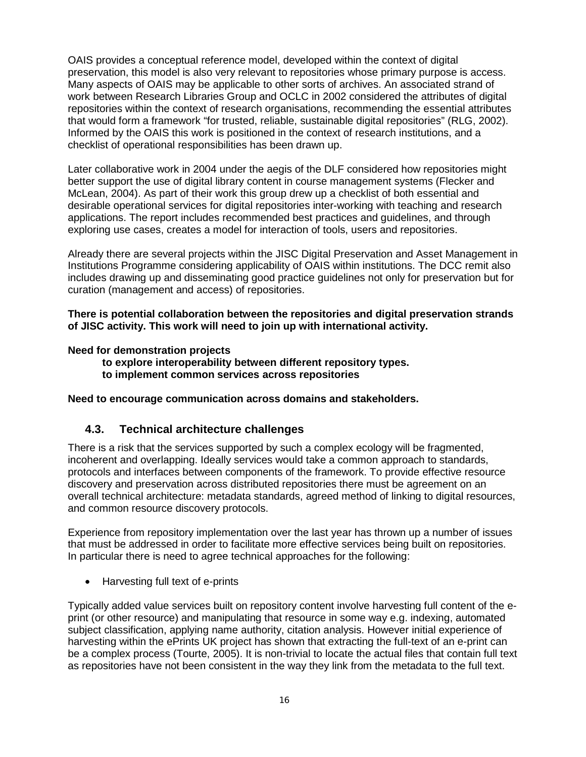OAIS provides a conceptual reference model, developed within the context of digital preservation, this model is also very relevant to repositories whose primary purpose is access. Many aspects of OAIS may be applicable to other sorts of archives. An associated strand of work between Research Libraries Group and OCLC in 2002 considered the attributes of digital repositories within the context of research organisations, recommending the essential attributes that would form a framework "for trusted, reliable, sustainable digital repositories" (RLG, 2002). Informed by the OAIS this work is positioned in the context of research institutions, and a checklist of operational responsibilities has been drawn up.

Later collaborative work in 2004 under the aegis of the DLF considered how repositories might better support the use of digital library content in course management systems (Flecker and McLean, 2004). As part of their work this group drew up a checklist of both essential and desirable operational services for digital repositories inter-working with teaching and research applications. The report includes recommended best practices and guidelines, and through exploring use cases, creates a model for interaction of tools, users and repositories.

Already there are several projects within the JISC Digital Preservation and Asset Management in Institutions Programme considering applicability of OAIS within institutions. The DCC remit also includes drawing up and disseminating good practice guidelines not only for preservation but for curation (management and access) of repositories.

**There is potential collaboration between the repositories and digital preservation strands of JISC activity. This work will need to join up with international activity.** 

#### **Need for demonstration projects**

- **to explore interoperability between different repository types.**
- **to implement common services across repositories**

#### **Need to encourage communication across domains and stakeholders.**

#### **4.3. Technical architecture challenges**

There is a risk that the services supported by such a complex ecology will be fragmented, incoherent and overlapping. Ideally services would take a common approach to standards, protocols and interfaces between components of the framework. To provide effective resource discovery and preservation across distributed repositories there must be agreement on an overall technical architecture: metadata standards, agreed method of linking to digital resources, and common resource discovery protocols.

Experience from repository implementation over the last year has thrown up a number of issues that must be addressed in order to facilitate more effective services being built on repositories. In particular there is need to agree technical approaches for the following:

• Harvesting full text of e-prints

Typically added value services built on repository content involve harvesting full content of the eprint (or other resource) and manipulating that resource in some way e.g. indexing, automated subject classification, applying name authority, citation analysis. However initial experience of harvesting within the ePrints UK project has shown that extracting the full-text of an e-print can be a complex process (Tourte, 2005). It is non-trivial to locate the actual files that contain full text as repositories have not been consistent in the way they link from the metadata to the full text.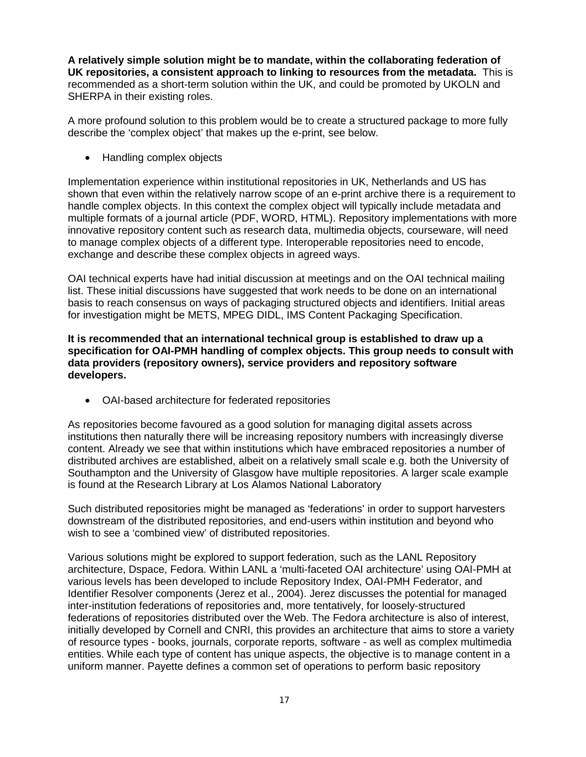**A relatively simple solution might be to mandate, within the collaborating federation of UK repositories, a consistent approach to linking to resources from the metadata.** This is recommended as a short-term solution within the UK, and could be promoted by UKOLN and SHERPA in their existing roles.

A more profound solution to this problem would be to create a structured package to more fully describe the 'complex object' that makes up the e-print, see below.

• Handling complex objects

Implementation experience within institutional repositories in UK, Netherlands and US has shown that even within the relatively narrow scope of an e-print archive there is a requirement to handle complex objects. In this context the complex object will typically include metadata and multiple formats of a journal article (PDF, WORD, HTML). Repository implementations with more innovative repository content such as research data, multimedia objects, courseware, will need to manage complex objects of a different type. Interoperable repositories need to encode, exchange and describe these complex objects in agreed ways.

OAI technical experts have had initial discussion at meetings and on the OAI technical mailing list. These initial discussions have suggested that work needs to be done on an international basis to reach consensus on ways of packaging structured objects and identifiers. Initial areas for investigation might be METS, MPEG DIDL, IMS Content Packaging Specification.

#### **It is recommended that an international technical group is established to draw up a specification for OAI-PMH handling of complex objects. This group needs to consult with data providers (repository owners), service providers and repository software developers.**

• OAI-based architecture for federated repositories

As repositories become favoured as a good solution for managing digital assets across institutions then naturally there will be increasing repository numbers with increasingly diverse content. Already we see that within institutions which have embraced repositories a number of distributed archives are established, albeit on a relatively small scale e.g. both the University of Southampton and the University of Glasgow have multiple repositories. A larger scale example is found at the Research Library at Los Alamos National Laboratory

Such distributed repositories might be managed as 'federations' in order to support harvesters downstream of the distributed repositories, and end-users within institution and beyond who wish to see a 'combined view' of distributed repositories.

Various solutions might be explored to support federation, such as the LANL Repository architecture, Dspace, Fedora. Within LANL a 'multi-faceted OAI architecture' using OAI-PMH at various levels has been developed to include Repository Index, OAI-PMH Federator, and Identifier Resolver components (Jerez et al., 2004). Jerez discusses the potential for managed inter-institution federations of repositories and, more tentatively, for loosely-structured federations of repositories distributed over the Web. The Fedora architecture is also of interest, initially developed by Cornell and CNRI, this provides an architecture that aims to store a variety of resource types - books, journals, corporate reports, software - as well as complex multimedia entities. While each type of content has unique aspects, the objective is to manage content in a uniform manner. Payette defines a common set of operations to perform basic repository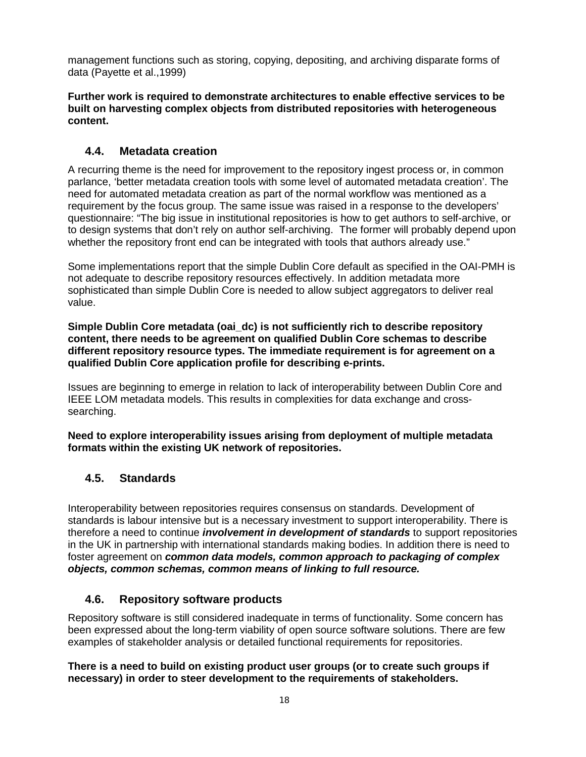management functions such as storing, copying, depositing, and archiving disparate forms of data (Payette et al.,1999)

#### **Further work is required to demonstrate architectures to enable effective services to be built on harvesting complex objects from distributed repositories with heterogeneous content.**

## **4.4. Metadata creation**

A recurring theme is the need for improvement to the repository ingest process or, in common parlance, 'better metadata creation tools with some level of automated metadata creation'. The need for automated metadata creation as part of the normal workflow was mentioned as a requirement by the focus group. The same issue was raised in a response to the developers' questionnaire: "The big issue in institutional repositories is how to get authors to self-archive, or to design systems that don't rely on author self-archiving. The former will probably depend upon whether the repository front end can be integrated with tools that authors already use."

Some implementations report that the simple Dublin Core default as specified in the OAI-PMH is not adequate to describe repository resources effectively. In addition metadata more sophisticated than simple Dublin Core is needed to allow subject aggregators to deliver real value.

**Simple Dublin Core metadata (oai\_dc) is not sufficiently rich to describe repository content, there needs to be agreement on qualified Dublin Core schemas to describe different repository resource types. The immediate requirement is for agreement on a qualified Dublin Core application profile for describing e-prints.** 

Issues are beginning to emerge in relation to lack of interoperability between Dublin Core and IEEE LOM metadata models. This results in complexities for data exchange and crosssearching.

**Need to explore interoperability issues arising from deployment of multiple metadata formats within the existing UK network of repositories.** 

## **4.5. Standards**

Interoperability between repositories requires consensus on standards. Development of standards is labour intensive but is a necessary investment to support interoperability. There is therefore a need to continue *involvement in development of standards* to support repositories in the UK in partnership with international standards making bodies. In addition there is need to foster agreement on *common data models, common approach to packaging of complex objects, common schemas, common means of linking to full resource.*

## **4.6. Repository software products**

Repository software is still considered inadequate in terms of functionality. Some concern has been expressed about the long-term viability of open source software solutions. There are few examples of stakeholder analysis or detailed functional requirements for repositories.

**There is a need to build on existing product user groups (or to create such groups if necessary) in order to steer development to the requirements of stakeholders.**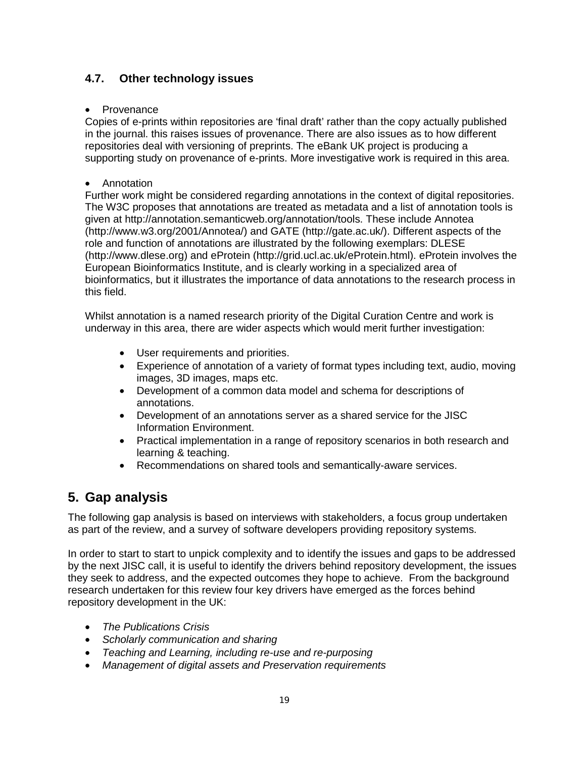## **4.7. Other technology issues**

#### • Provenance

Copies of e-prints within repositories are 'final draft' rather than the copy actually published in the journal. this raises issues of provenance. There are also issues as to how different repositories deal with versioning of preprints. The eBank UK project is producing a supporting study on provenance of e-prints. More investigative work is required in this area.

#### • Annotation

Further work might be considered regarding annotations in the context of digital repositories. The W3C proposes that annotations are treated as metadata and a list of annotation tools is given at http://annotation.semanticweb.org/annotation/tools. These include Annotea (http://www.w3.org/2001/Annotea/) and GATE (http://gate.ac.uk/). Different aspects of the role and function of annotations are illustrated by the following exemplars: DLESE (http://www.dlese.org) and eProtein (http://grid.ucl.ac.uk/eProtein.html). eProtein involves the European Bioinformatics Institute, and is clearly working in a specialized area of bioinformatics, but it illustrates the importance of data annotations to the research process in this field.

Whilst annotation is a named research priority of the Digital Curation Centre and work is underway in this area, there are wider aspects which would merit further investigation:

- User requirements and priorities.
- Experience of annotation of a variety of format types including text, audio, moving images, 3D images, maps etc.
- Development of a common data model and schema for descriptions of annotations.
- Development of an annotations server as a shared service for the JISC Information Environment.
- Practical implementation in a range of repository scenarios in both research and learning & teaching.
- Recommendations on shared tools and semantically-aware services.

## **5. Gap analysis**

The following gap analysis is based on interviews with stakeholders, a focus group undertaken as part of the review, and a survey of software developers providing repository systems.

In order to start to start to unpick complexity and to identify the issues and gaps to be addressed by the next JISC call, it is useful to identify the drivers behind repository development, the issues they seek to address, and the expected outcomes they hope to achieve. From the background research undertaken for this review four key drivers have emerged as the forces behind repository development in the UK:

- *The Publications Crisis*
- *Scholarly communication and sharing*
- *Teaching and Learning, including re-use and re-purposing*
- *Management of digital assets and Preservation requirements*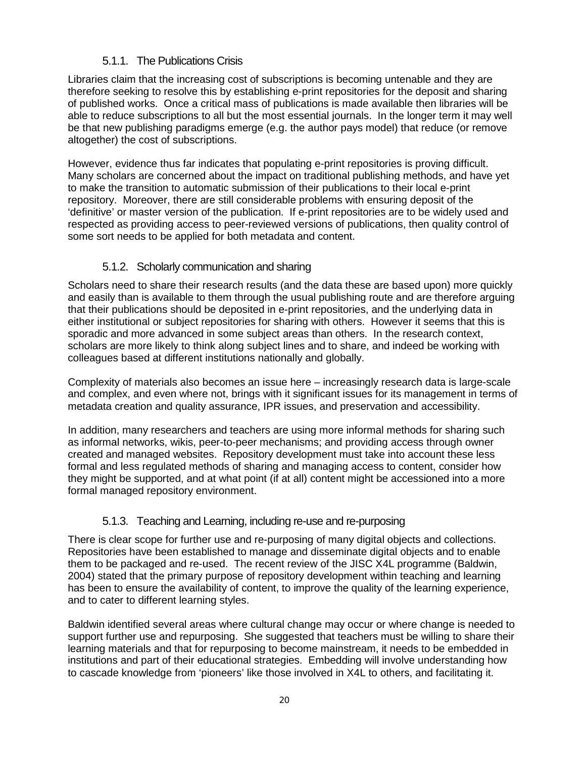#### 5.1.1. The Publications Crisis

Libraries claim that the increasing cost of subscriptions is becoming untenable and they are therefore seeking to resolve this by establishing e-print repositories for the deposit and sharing of published works. Once a critical mass of publications is made available then libraries will be able to reduce subscriptions to all but the most essential journals. In the longer term it may well be that new publishing paradigms emerge (e.g. the author pays model) that reduce (or remove altogether) the cost of subscriptions.

However, evidence thus far indicates that populating e-print repositories is proving difficult. Many scholars are concerned about the impact on traditional publishing methods, and have yet to make the transition to automatic submission of their publications to their local e-print repository. Moreover, there are still considerable problems with ensuring deposit of the 'definitive' or master version of the publication. If e-print repositories are to be widely used and respected as providing access to peer-reviewed versions of publications, then quality control of some sort needs to be applied for both metadata and content.

## 5.1.2. Scholarly communication and sharing

Scholars need to share their research results (and the data these are based upon) more quickly and easily than is available to them through the usual publishing route and are therefore arguing that their publications should be deposited in e-print repositories, and the underlying data in either institutional or subject repositories for sharing with others. However it seems that this is sporadic and more advanced in some subject areas than others. In the research context, scholars are more likely to think along subject lines and to share, and indeed be working with colleagues based at different institutions nationally and globally.

Complexity of materials also becomes an issue here – increasingly research data is large-scale and complex, and even where not, brings with it significant issues for its management in terms of metadata creation and quality assurance, IPR issues, and preservation and accessibility.

In addition, many researchers and teachers are using more informal methods for sharing such as informal networks, wikis, peer-to-peer mechanisms; and providing access through owner created and managed websites. Repository development must take into account these less formal and less regulated methods of sharing and managing access to content, consider how they might be supported, and at what point (if at all) content might be accessioned into a more formal managed repository environment.

## 5.1.3. Teaching and Learning, including re-use and re-purposing

There is clear scope for further use and re-purposing of many digital objects and collections. Repositories have been established to manage and disseminate digital objects and to enable them to be packaged and re-used. The recent review of the JISC X4L programme (Baldwin, 2004) stated that the primary purpose of repository development within teaching and learning has been to ensure the availability of content, to improve the quality of the learning experience, and to cater to different learning styles.

Baldwin identified several areas where cultural change may occur or where change is needed to support further use and repurposing. She suggested that teachers must be willing to share their learning materials and that for repurposing to become mainstream, it needs to be embedded in institutions and part of their educational strategies. Embedding will involve understanding how to cascade knowledge from 'pioneers' like those involved in X4L to others, and facilitating it.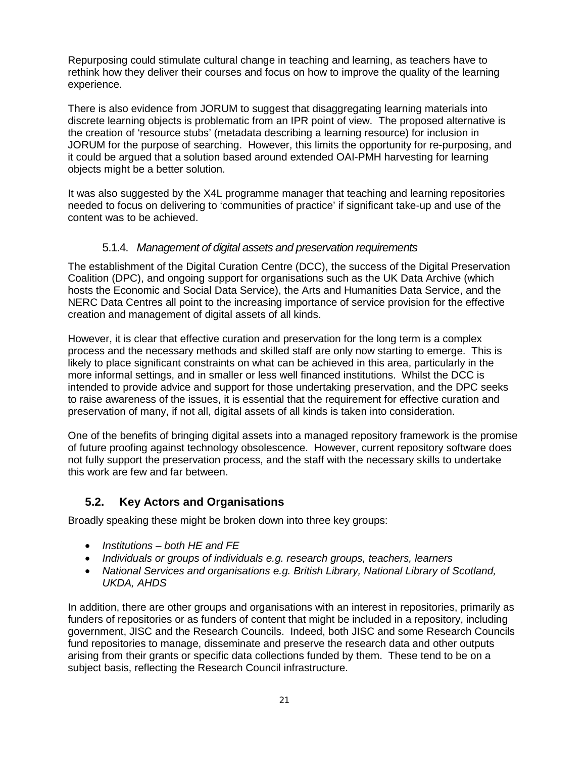Repurposing could stimulate cultural change in teaching and learning, as teachers have to rethink how they deliver their courses and focus on how to improve the quality of the learning experience.

There is also evidence from JORUM to suggest that disaggregating learning materials into discrete learning objects is problematic from an IPR point of view. The proposed alternative is the creation of 'resource stubs' (metadata describing a learning resource) for inclusion in JORUM for the purpose of searching. However, this limits the opportunity for re-purposing, and it could be argued that a solution based around extended OAI-PMH harvesting for learning objects might be a better solution.

It was also suggested by the X4L programme manager that teaching and learning repositories needed to focus on delivering to 'communities of practice' if significant take-up and use of the content was to be achieved.

#### 5.1.4. *Management of digital assets and preservation requirements*

The establishment of the Digital Curation Centre (DCC), the success of the Digital Preservation Coalition (DPC), and ongoing support for organisations such as the UK Data Archive (which hosts the Economic and Social Data Service), the Arts and Humanities Data Service, and the NERC Data Centres all point to the increasing importance of service provision for the effective creation and management of digital assets of all kinds.

However, it is clear that effective curation and preservation for the long term is a complex process and the necessary methods and skilled staff are only now starting to emerge. This is likely to place significant constraints on what can be achieved in this area, particularly in the more informal settings, and in smaller or less well financed institutions. Whilst the DCC is intended to provide advice and support for those undertaking preservation, and the DPC seeks to raise awareness of the issues, it is essential that the requirement for effective curation and preservation of many, if not all, digital assets of all kinds is taken into consideration.

One of the benefits of bringing digital assets into a managed repository framework is the promise of future proofing against technology obsolescence. However, current repository software does not fully support the preservation process, and the staff with the necessary skills to undertake this work are few and far between.

#### **5.2. Key Actors and Organisations**

Broadly speaking these might be broken down into three key groups:

- *Institutions both HE and FE*
- *Individuals or groups of individuals e.g. research groups, teachers, learners*
- *National Services and organisations e.g. British Library, National Library of Scotland, UKDA, AHDS*

In addition, there are other groups and organisations with an interest in repositories, primarily as funders of repositories or as funders of content that might be included in a repository, including government, JISC and the Research Councils. Indeed, both JISC and some Research Councils fund repositories to manage, disseminate and preserve the research data and other outputs arising from their grants or specific data collections funded by them. These tend to be on a subject basis, reflecting the Research Council infrastructure.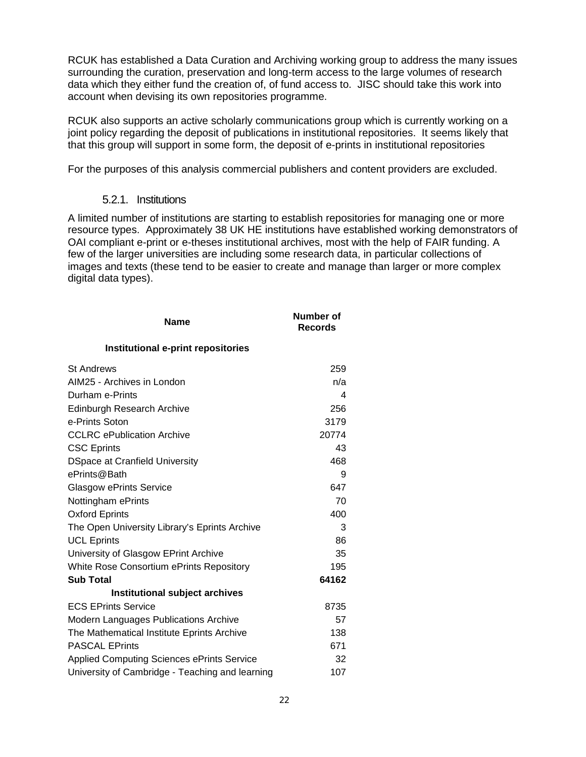RCUK has established a Data Curation and Archiving working group to address the many issues surrounding the curation, preservation and long-term access to the large volumes of research data which they either fund the creation of, of fund access to. JISC should take this work into account when devising its own repositories programme.

RCUK also supports an active scholarly communications group which is currently working on a joint policy regarding the deposit of publications in institutional repositories. It seems likely that that this group will support in some form, the deposit of e-prints in institutional repositories

For the purposes of this analysis commercial publishers and content providers are excluded.

#### 5.2.1. Institutions

A limited number of institutions are starting to establish repositories for managing one or more resource types. Approximately 38 UK HE institutions have established working demonstrators of OAI compliant e-print or e-theses institutional archives, most with the help of FAIR funding. A few of the larger universities are including some research data, in particular collections of images and texts (these tend to be easier to create and manage than larger or more complex digital data types).

| <b>Name</b>                                       | <b>Number of</b><br><b>Records</b> |
|---------------------------------------------------|------------------------------------|
| Institutional e-print repositories                |                                    |
| <b>St Andrews</b>                                 | 259                                |
| AIM25 - Archives in London                        | n/a                                |
| Durham e-Prints                                   | 4                                  |
| Edinburgh Research Archive                        | 256                                |
| e-Prints Soton                                    | 3179                               |
| <b>CCLRC</b> ePublication Archive                 | 20774                              |
| <b>CSC Eprints</b>                                | 43                                 |
| <b>DSpace at Cranfield University</b>             | 468                                |
| ePrints@Bath                                      | 9                                  |
| <b>Glasgow ePrints Service</b>                    | 647                                |
| Nottingham ePrints                                | 70                                 |
| <b>Oxford Eprints</b>                             | 400                                |
| The Open University Library's Eprints Archive     | 3                                  |
| <b>UCL Eprints</b>                                | 86                                 |
| University of Glasgow EPrint Archive              | 35                                 |
| White Rose Consortium ePrints Repository          | 195                                |
| <b>Sub Total</b>                                  | 64162                              |
| Institutional subject archives                    |                                    |
| <b>ECS EPrints Service</b>                        | 8735                               |
| <b>Modern Languages Publications Archive</b>      | 57                                 |
| The Mathematical Institute Eprints Archive        | 138                                |
| <b>PASCAL EPrints</b>                             | 671                                |
| <b>Applied Computing Sciences ePrints Service</b> | 32                                 |
| University of Cambridge - Teaching and learning   | 107                                |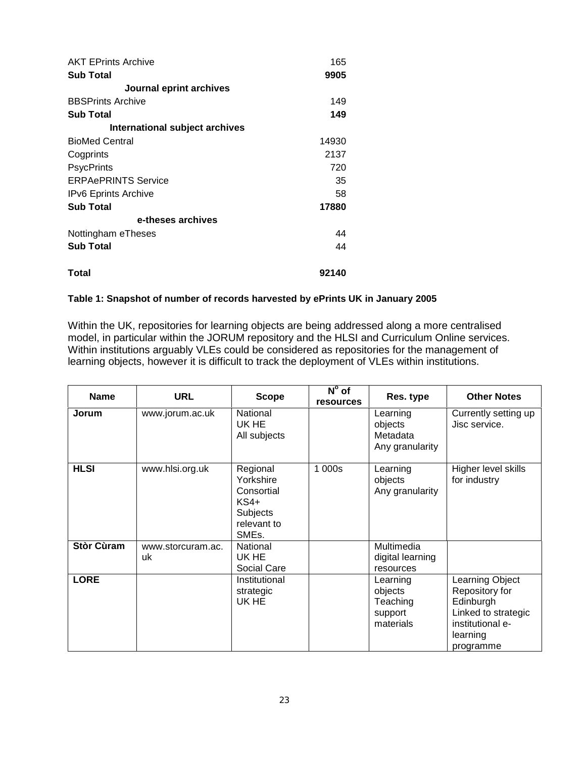| <b>AKT EPrints Archive</b>     | 165   |
|--------------------------------|-------|
| <b>Sub Total</b>               | 9905  |
| Journal eprint archives        |       |
| <b>BBSPrints Archive</b>       | 149   |
| <b>Sub Total</b>               | 149   |
| International subject archives |       |
| <b>BioMed Central</b>          | 14930 |
| Cogprints                      | 2137  |
| <b>PsycPrints</b>              | 720   |
| <b>ERPAePRINTS Service</b>     | 35    |
| <b>IPv6</b> Eprints Archive    | 58    |
| <b>Sub Total</b>               | 17880 |
| e-theses archives              |       |
| Nottingham eTheses             | 44    |
| <b>Sub Total</b>               | 44    |
| Total                          | 92140 |

#### **Table 1: Snapshot of number of records harvested by ePrints UK in January 2005**

Within the UK, repositories for learning objects are being addressed along a more centralised model, in particular within the JORUM repository and the HLSI and Curriculum Online services. Within institutions arguably VLEs could be considered as repositories for the management of learning objects, however it is difficult to track the deployment of VLEs within institutions.

| <b>Name</b>       | <b>URL</b>              | <b>Scope</b>                                                                                  | $N^{\circ}$ of<br><b>resources</b> | Res. type                                               | <b>Other Notes</b>                                                                                                 |
|-------------------|-------------------------|-----------------------------------------------------------------------------------------------|------------------------------------|---------------------------------------------------------|--------------------------------------------------------------------------------------------------------------------|
| Jorum             | www.jorum.ac.uk         | National<br>UK HE<br>All subjects                                                             |                                    | Learning<br>objects<br>Metadata<br>Any granularity      | Currently setting up<br>Jisc service.                                                                              |
| <b>HLSI</b>       | www.hlsi.org.uk         | Regional<br>Yorkshire<br>Consortial<br>$KS4+$<br>Subjects<br>relevant to<br>SME <sub>s.</sub> | 1 000s                             | Learning<br>objects<br>Any granularity                  | Higher level skills<br>for industry                                                                                |
| <b>Stòr Cùram</b> | www.storcuram.ac.<br>uk | National<br>UK HE<br>Social Care                                                              |                                    | Multimedia<br>digital learning<br>resources             |                                                                                                                    |
| <b>LORE</b>       |                         | Institutional<br>strategic<br>UK HE                                                           |                                    | Learning<br>objects<br>Teaching<br>support<br>materials | Learning Object<br>Repository for<br>Edinburgh<br>Linked to strategic<br>institutional e-<br>learning<br>programme |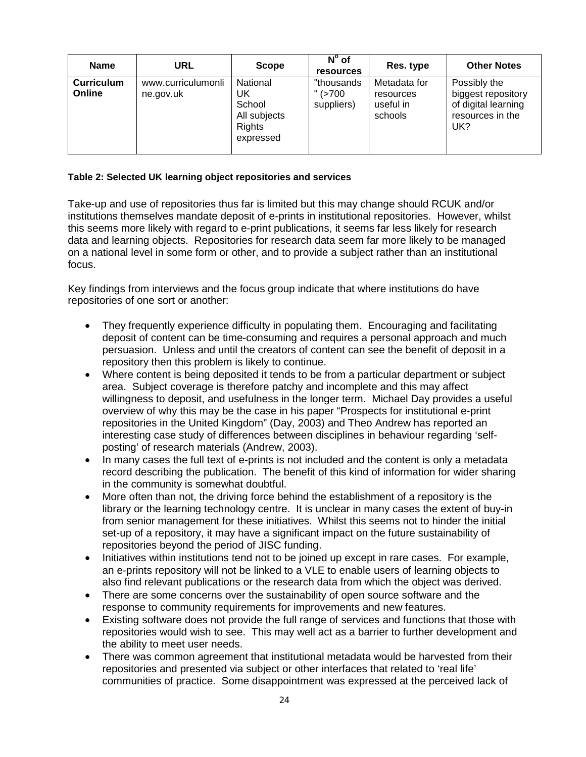| <b>Name</b>                 | URL                             | <b>Scope</b>                                                    | $N^{\circ}$ of<br>resources           | Res. type                                         | <b>Other Notes</b>                                                                   |
|-----------------------------|---------------------------------|-----------------------------------------------------------------|---------------------------------------|---------------------------------------------------|--------------------------------------------------------------------------------------|
| <b>Curriculum</b><br>Online | www.curriculumonli<br>ne.gov.uk | National<br>UK<br>School<br>All subjects<br>Rights<br>expressed | "thousands<br>$"$ (>700<br>suppliers) | Metadata for<br>resources<br>useful in<br>schools | Possibly the<br>biggest repository<br>of digital learning<br>resources in the<br>UK? |

#### **Table 2: Selected UK learning object repositories and services**

Take-up and use of repositories thus far is limited but this may change should RCUK and/or institutions themselves mandate deposit of e-prints in institutional repositories. However, whilst this seems more likely with regard to e-print publications, it seems far less likely for research data and learning objects. Repositories for research data seem far more likely to be managed on a national level in some form or other, and to provide a subject rather than an institutional focus.

Key findings from interviews and the focus group indicate that where institutions do have repositories of one sort or another:

- They frequently experience difficulty in populating them. Encouraging and facilitating deposit of content can be time-consuming and requires a personal approach and much persuasion. Unless and until the creators of content can see the benefit of deposit in a repository then this problem is likely to continue.
- Where content is being deposited it tends to be from a particular department or subject area. Subject coverage is therefore patchy and incomplete and this may affect willingness to deposit, and usefulness in the longer term. Michael Day provides a useful overview of why this may be the case in his paper "Prospects for institutional e-print repositories in the United Kingdom" (Day, 2003) and Theo Andrew has reported an interesting case study of differences between disciplines in behaviour regarding 'selfposting' of research materials (Andrew, 2003).
- In many cases the full text of e-prints is not included and the content is only a metadata record describing the publication. The benefit of this kind of information for wider sharing in the community is somewhat doubtful.
- More often than not, the driving force behind the establishment of a repository is the library or the learning technology centre. It is unclear in many cases the extent of buy-in from senior management for these initiatives. Whilst this seems not to hinder the initial set-up of a repository, it may have a significant impact on the future sustainability of repositories beyond the period of JISC funding.
- Initiatives within institutions tend not to be joined up except in rare cases. For example, an e-prints repository will not be linked to a VLE to enable users of learning objects to also find relevant publications or the research data from which the object was derived.
- There are some concerns over the sustainability of open source software and the response to community requirements for improvements and new features.
- Existing software does not provide the full range of services and functions that those with repositories would wish to see. This may well act as a barrier to further development and the ability to meet user needs.
- There was common agreement that institutional metadata would be harvested from their repositories and presented via subject or other interfaces that related to 'real life' communities of practice. Some disappointment was expressed at the perceived lack of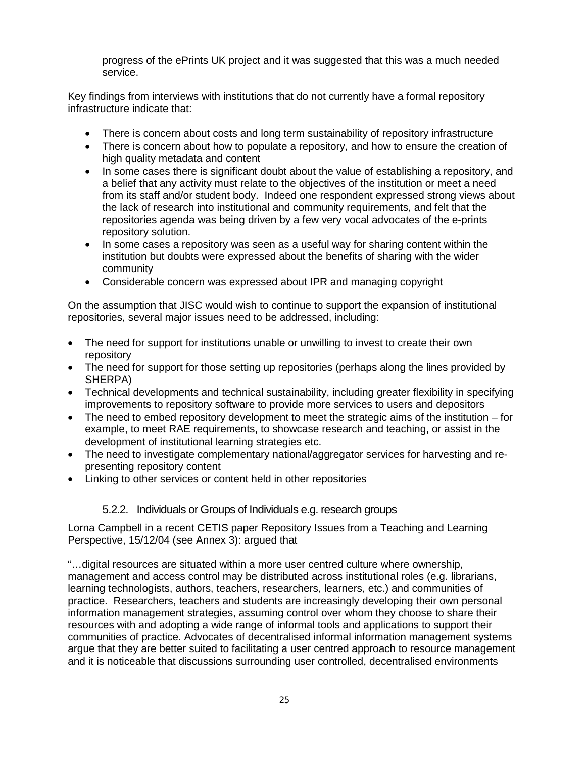progress of the ePrints UK project and it was suggested that this was a much needed service.

Key findings from interviews with institutions that do not currently have a formal repository infrastructure indicate that:

- There is concern about costs and long term sustainability of repository infrastructure
- There is concern about how to populate a repository, and how to ensure the creation of high quality metadata and content
- In some cases there is significant doubt about the value of establishing a repository, and a belief that any activity must relate to the objectives of the institution or meet a need from its staff and/or student body. Indeed one respondent expressed strong views about the lack of research into institutional and community requirements, and felt that the repositories agenda was being driven by a few very vocal advocates of the e-prints repository solution.
- In some cases a repository was seen as a useful way for sharing content within the institution but doubts were expressed about the benefits of sharing with the wider community
- Considerable concern was expressed about IPR and managing copyright

On the assumption that JISC would wish to continue to support the expansion of institutional repositories, several major issues need to be addressed, including:

- The need for support for institutions unable or unwilling to invest to create their own repository
- The need for support for those setting up repositories (perhaps along the lines provided by SHERPA)
- Technical developments and technical sustainability, including greater flexibility in specifying improvements to repository software to provide more services to users and depositors
- The need to embed repository development to meet the strategic aims of the institution for example, to meet RAE requirements, to showcase research and teaching, or assist in the development of institutional learning strategies etc.
- The need to investigate complementary national/aggregator services for harvesting and representing repository content
- Linking to other services or content held in other repositories

#### 5.2.2. Individuals or Groups of Individuals e.g. research groups

Lorna Campbell in a recent CETIS paper Repository Issues from a Teaching and Learning Perspective, 15/12/04 (see Annex 3): argued that

"…digital resources are situated within a more user centred culture where ownership, management and access control may be distributed across institutional roles (e.g. librarians, learning technologists, authors, teachers, researchers, learners, etc.) and communities of practice. Researchers, teachers and students are increasingly developing their own personal information management strategies, assuming control over whom they choose to share their resources with and adopting a wide range of informal tools and applications to support their communities of practice. Advocates of decentralised informal information management systems argue that they are better suited to facilitating a user centred approach to resource management and it is noticeable that discussions surrounding user controlled, decentralised environments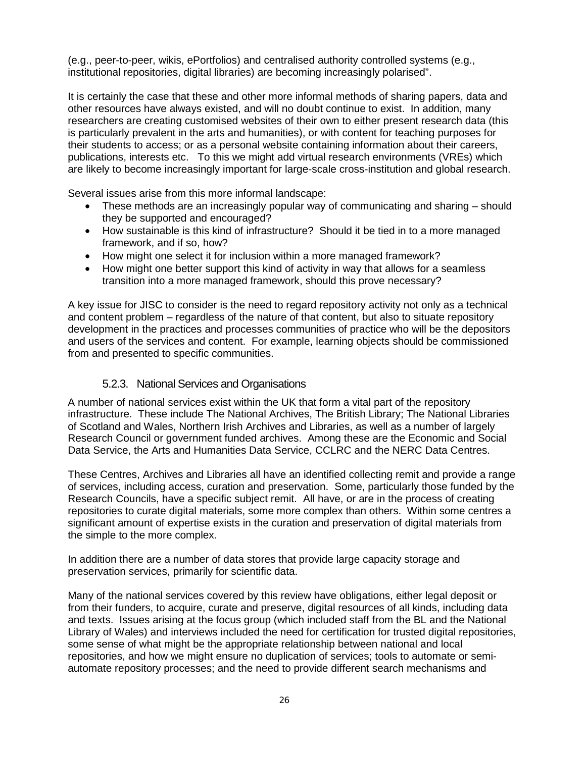(e.g., peer-to-peer, wikis, ePortfolios) and centralised authority controlled systems (e.g., institutional repositories, digital libraries) are becoming increasingly polarised".

It is certainly the case that these and other more informal methods of sharing papers, data and other resources have always existed, and will no doubt continue to exist. In addition, many researchers are creating customised websites of their own to either present research data (this is particularly prevalent in the arts and humanities), or with content for teaching purposes for their students to access; or as a personal website containing information about their careers, publications, interests etc. To this we might add virtual research environments (VREs) which are likely to become increasingly important for large-scale cross-institution and global research.

Several issues arise from this more informal landscape:

- These methods are an increasingly popular way of communicating and sharing should they be supported and encouraged?
- How sustainable is this kind of infrastructure? Should it be tied in to a more managed framework, and if so, how?
- How might one select it for inclusion within a more managed framework?
- How might one better support this kind of activity in way that allows for a seamless transition into a more managed framework, should this prove necessary?

A key issue for JISC to consider is the need to regard repository activity not only as a technical and content problem – regardless of the nature of that content, but also to situate repository development in the practices and processes communities of practice who will be the depositors and users of the services and content. For example, learning objects should be commissioned from and presented to specific communities.

#### 5.2.3. National Services and Organisations

A number of national services exist within the UK that form a vital part of the repository infrastructure. These include The National Archives, The British Library; The National Libraries of Scotland and Wales, Northern Irish Archives and Libraries, as well as a number of largely Research Council or government funded archives. Among these are the Economic and Social Data Service, the Arts and Humanities Data Service, CCLRC and the NERC Data Centres.

These Centres, Archives and Libraries all have an identified collecting remit and provide a range of services, including access, curation and preservation. Some, particularly those funded by the Research Councils, have a specific subject remit. All have, or are in the process of creating repositories to curate digital materials, some more complex than others. Within some centres a significant amount of expertise exists in the curation and preservation of digital materials from the simple to the more complex.

In addition there are a number of data stores that provide large capacity storage and preservation services, primarily for scientific data.

Many of the national services covered by this review have obligations, either legal deposit or from their funders, to acquire, curate and preserve, digital resources of all kinds, including data and texts. Issues arising at the focus group (which included staff from the BL and the National Library of Wales) and interviews included the need for certification for trusted digital repositories, some sense of what might be the appropriate relationship between national and local repositories, and how we might ensure no duplication of services; tools to automate or semiautomate repository processes; and the need to provide different search mechanisms and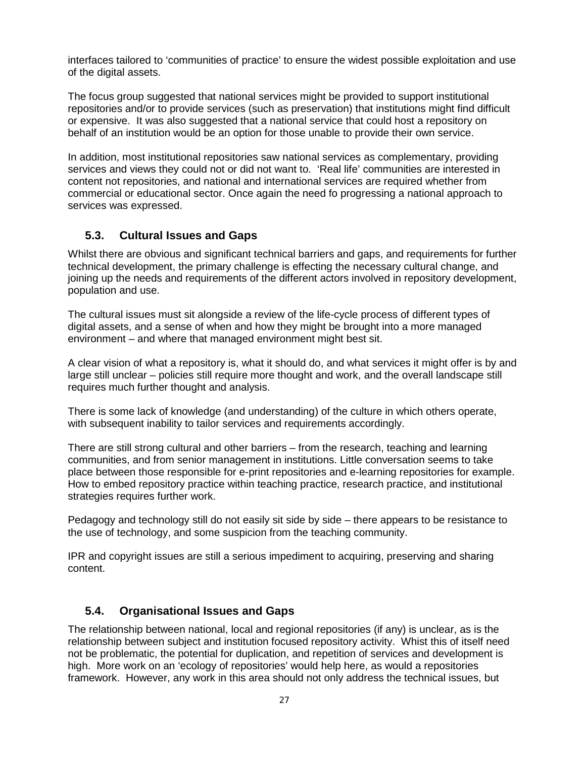interfaces tailored to 'communities of practice' to ensure the widest possible exploitation and use of the digital assets.

The focus group suggested that national services might be provided to support institutional repositories and/or to provide services (such as preservation) that institutions might find difficult or expensive. It was also suggested that a national service that could host a repository on behalf of an institution would be an option for those unable to provide their own service.

In addition, most institutional repositories saw national services as complementary, providing services and views they could not or did not want to. 'Real life' communities are interested in content not repositories, and national and international services are required whether from commercial or educational sector. Once again the need fo progressing a national approach to services was expressed.

#### **5.3. Cultural Issues and Gaps**

Whilst there are obvious and significant technical barriers and gaps, and requirements for further technical development, the primary challenge is effecting the necessary cultural change, and joining up the needs and requirements of the different actors involved in repository development, population and use.

The cultural issues must sit alongside a review of the life-cycle process of different types of digital assets, and a sense of when and how they might be brought into a more managed environment – and where that managed environment might best sit.

A clear vision of what a repository is, what it should do, and what services it might offer is by and large still unclear – policies still require more thought and work, and the overall landscape still requires much further thought and analysis.

There is some lack of knowledge (and understanding) of the culture in which others operate, with subsequent inability to tailor services and requirements accordingly.

There are still strong cultural and other barriers – from the research, teaching and learning communities, and from senior management in institutions. Little conversation seems to take place between those responsible for e-print repositories and e-learning repositories for example. How to embed repository practice within teaching practice, research practice, and institutional strategies requires further work.

Pedagogy and technology still do not easily sit side by side – there appears to be resistance to the use of technology, and some suspicion from the teaching community.

IPR and copyright issues are still a serious impediment to acquiring, preserving and sharing content.

#### **5.4. Organisational Issues and Gaps**

The relationship between national, local and regional repositories (if any) is unclear, as is the relationship between subject and institution focused repository activity. Whist this of itself need not be problematic, the potential for duplication, and repetition of services and development is high. More work on an 'ecology of repositories' would help here, as would a repositories framework. However, any work in this area should not only address the technical issues, but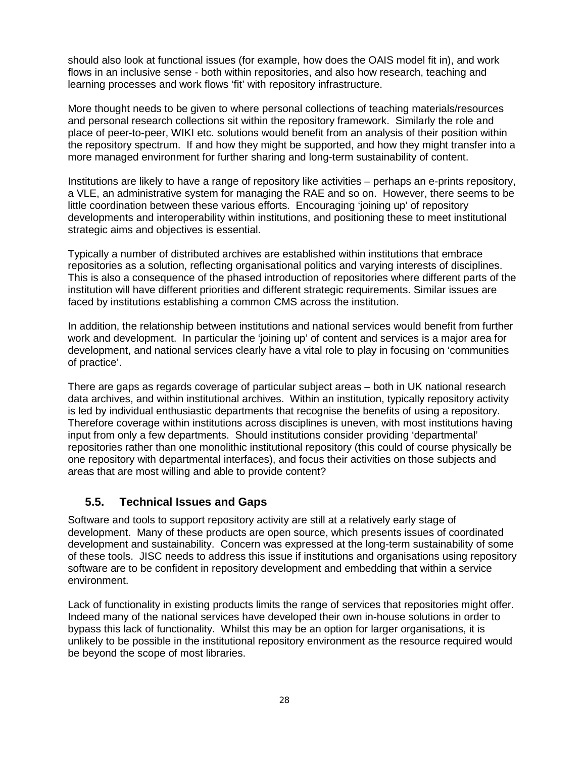should also look at functional issues (for example, how does the OAIS model fit in), and work flows in an inclusive sense - both within repositories, and also how research, teaching and learning processes and work flows 'fit' with repository infrastructure.

More thought needs to be given to where personal collections of teaching materials/resources and personal research collections sit within the repository framework. Similarly the role and place of peer-to-peer, WIKI etc. solutions would benefit from an analysis of their position within the repository spectrum. If and how they might be supported, and how they might transfer into a more managed environment for further sharing and long-term sustainability of content.

Institutions are likely to have a range of repository like activities – perhaps an e-prints repository, a VLE, an administrative system for managing the RAE and so on. However, there seems to be little coordination between these various efforts. Encouraging 'joining up' of repository developments and interoperability within institutions, and positioning these to meet institutional strategic aims and objectives is essential.

Typically a number of distributed archives are established within institutions that embrace repositories as a solution, reflecting organisational politics and varying interests of disciplines. This is also a consequence of the phased introduction of repositories where different parts of the institution will have different priorities and different strategic requirements. Similar issues are faced by institutions establishing a common CMS across the institution.

In addition, the relationship between institutions and national services would benefit from further work and development. In particular the 'joining up' of content and services is a major area for development, and national services clearly have a vital role to play in focusing on 'communities of practice'.

There are gaps as regards coverage of particular subject areas – both in UK national research data archives, and within institutional archives. Within an institution, typically repository activity is led by individual enthusiastic departments that recognise the benefits of using a repository. Therefore coverage within institutions across disciplines is uneven, with most institutions having input from only a few departments. Should institutions consider providing 'departmental' repositories rather than one monolithic institutional repository (this could of course physically be one repository with departmental interfaces), and focus their activities on those subjects and areas that are most willing and able to provide content?

#### **5.5. Technical Issues and Gaps**

Software and tools to support repository activity are still at a relatively early stage of development. Many of these products are open source, which presents issues of coordinated development and sustainability. Concern was expressed at the long-term sustainability of some of these tools. JISC needs to address this issue if institutions and organisations using repository software are to be confident in repository development and embedding that within a service environment.

Lack of functionality in existing products limits the range of services that repositories might offer. Indeed many of the national services have developed their own in-house solutions in order to bypass this lack of functionality. Whilst this may be an option for larger organisations, it is unlikely to be possible in the institutional repository environment as the resource required would be beyond the scope of most libraries.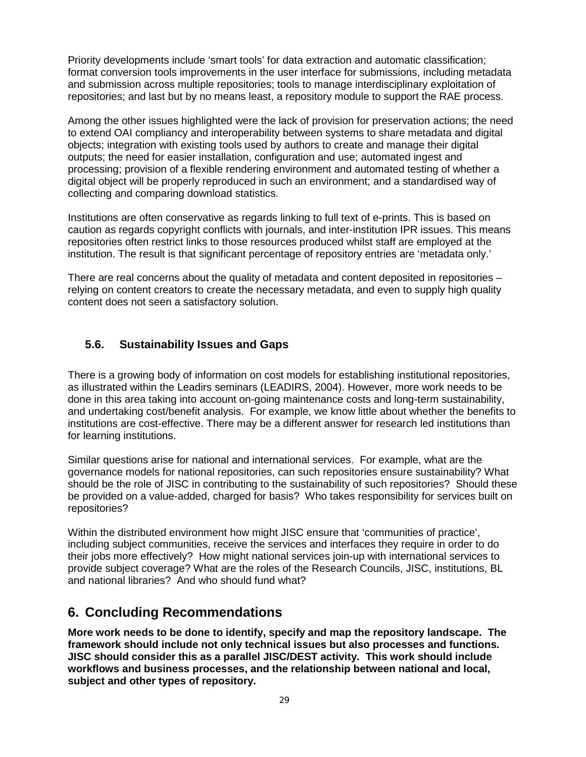Priority developments include 'smart tools' for data extraction and automatic classification; format conversion tools improvements in the user interface for submissions, including metadata and submission across multiple repositories; tools to manage interdisciplinary exploitation of repositories; and last but by no means least, a repository module to support the RAE process.

Among the other issues highlighted were the lack of provision for preservation actions; the need to extend OAI compliancy and interoperability between systems to share metadata and digital objects; integration with existing tools used by authors to create and manage their digital outputs; the need for easier installation, configuration and use; automated ingest and processing; provision of a flexible rendering environment and automated testing of whether a digital object will be properly reproduced in such an environment; and a standardised way of collecting and comparing download statistics.

Institutions are often conservative as regards linking to full text of e-prints. This is based on caution as regards copyright conflicts with journals, and inter-institution IPR issues. This means repositories often restrict links to those resources produced whilst staff are employed at the institution. The result is that significant percentage of repository entries are 'metadata only.'

There are real concerns about the quality of metadata and content deposited in repositories – relying on content creators to create the necessary metadata, and even to supply high quality content does not seen a satisfactory solution.

## **5.6. Sustainability Issues and Gaps**

There is a growing body of information on cost models for establishing institutional repositories, as illustrated within the Leadirs seminars (LEADIRS, 2004). However, more work needs to be done in this area taking into account on-going maintenance costs and long-term sustainability, and undertaking cost/benefit analysis. For example, we know little about whether the benefits to institutions are cost-effective. There may be a different answer for research led institutions than for learning institutions.

Similar questions arise for national and international services. For example, what are the governance models for national repositories, can such repositories ensure sustainability? What should be the role of JISC in contributing to the sustainability of such repositories? Should these be provided on a value-added, charged for basis? Who takes responsibility for services built on repositories?

Within the distributed environment how might JISC ensure that 'communities of practice', including subject communities, receive the services and interfaces they require in order to do their jobs more effectively? How might national services join-up with international services to provide subject coverage? What are the roles of the Research Councils, JISC, institutions, BL and national libraries? And who should fund what?

## **6. Concluding Recommendations**

**More work needs to be done to identify, specify and map the repository landscape. The framework should include not only technical issues but also processes and functions. JISC should consider this as a parallel JISC/DEST activity. This work should include workflows and business processes, and the relationship between national and local, subject and other types of repository.**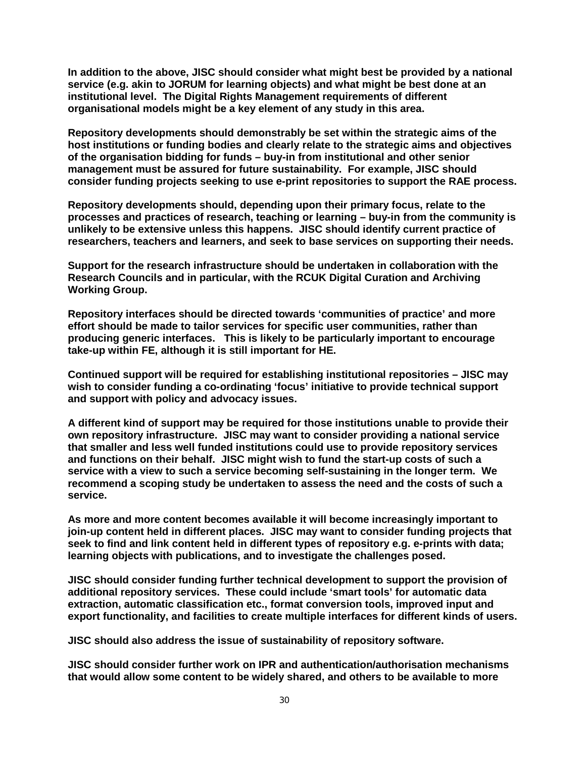**In addition to the above, JISC should consider what might best be provided by a national service (e.g. akin to JORUM for learning objects) and what might be best done at an institutional level. The Digital Rights Management requirements of different organisational models might be a key element of any study in this area.** 

**Repository developments should demonstrably be set within the strategic aims of the host institutions or funding bodies and clearly relate to the strategic aims and objectives of the organisation bidding for funds – buy-in from institutional and other senior management must be assured for future sustainability. For example, JISC should consider funding projects seeking to use e-print repositories to support the RAE process.** 

**Repository developments should, depending upon their primary focus, relate to the processes and practices of research, teaching or learning – buy-in from the community is unlikely to be extensive unless this happens. JISC should identify current practice of researchers, teachers and learners, and seek to base services on supporting their needs.** 

**Support for the research infrastructure should be undertaken in collaboration with the Research Councils and in particular, with the RCUK Digital Curation and Archiving Working Group.** 

**Repository interfaces should be directed towards 'communities of practice' and more effort should be made to tailor services for specific user communities, rather than producing generic interfaces. This is likely to be particularly important to encourage take-up within FE, although it is still important for HE.** 

**Continued support will be required for establishing institutional repositories – JISC may wish to consider funding a co-ordinating 'focus' initiative to provide technical support and support with policy and advocacy issues.** 

**A different kind of support may be required for those institutions unable to provide their own repository infrastructure. JISC may want to consider providing a national service that smaller and less well funded institutions could use to provide repository services and functions on their behalf. JISC might wish to fund the start-up costs of such a service with a view to such a service becoming self-sustaining in the longer term. We recommend a scoping study be undertaken to assess the need and the costs of such a service.** 

**As more and more content becomes available it will become increasingly important to join-up content held in different places. JISC may want to consider funding projects that seek to find and link content held in different types of repository e.g. e-prints with data; learning objects with publications, and to investigate the challenges posed.** 

**JISC should consider funding further technical development to support the provision of additional repository services. These could include 'smart tools' for automatic data extraction, automatic classification etc., format conversion tools, improved input and export functionality, and facilities to create multiple interfaces for different kinds of users.** 

**JISC should also address the issue of sustainability of repository software.** 

**JISC should consider further work on IPR and authentication/authorisation mechanisms that would allow some content to be widely shared, and others to be available to more**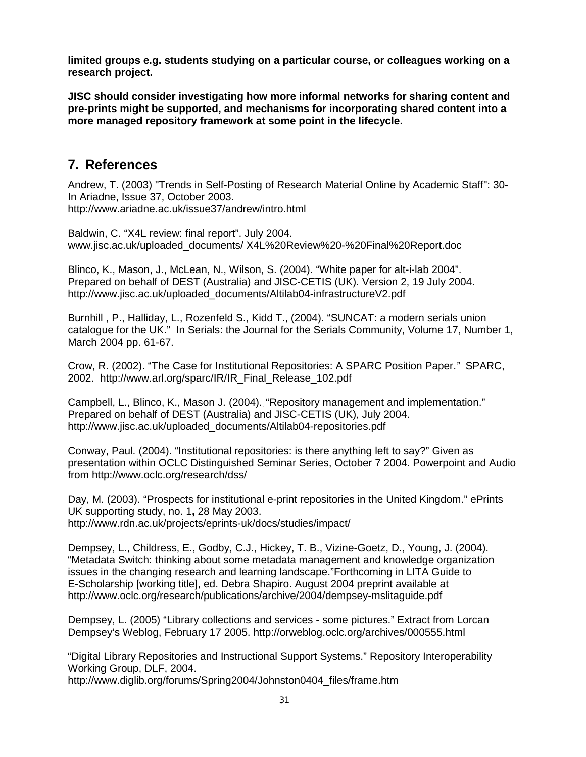**limited groups e.g. students studying on a particular course, or colleagues working on a research project.** 

**JISC should consider investigating how more informal networks for sharing content and pre-prints might be supported, and mechanisms for incorporating shared content into a more managed repository framework at some point in the lifecycle.** 

## **7. References**

Andrew, T. (2003) "Trends in Self-Posting of Research Material Online by Academic Staff": 30- In Ariadne, Issue 37, October 2003. http://www.ariadne.ac.uk/issue37/andrew/intro.html

Baldwin, C. "X4L review: final report". July 2004. www.jisc.ac.uk/uploaded\_documents/ X4L%20Review%20-%20Final%20Report.doc

Blinco, K., Mason, J., McLean, N., Wilson, S. (2004). "White paper for alt-i-lab 2004". Prepared on behalf of DEST (Australia) and JISC-CETIS (UK). Version 2, 19 July 2004. http://www.jisc.ac.uk/uploaded\_documents/Altilab04-infrastructureV2.pdf

Burnhill , P., Halliday, L., Rozenfeld S., Kidd T., (2004). "SUNCAT: a modern serials union catalogue for the UK." In Serials: the Journal for the Serials Community, Volume 17, Number 1, March 2004 pp. 61-67.

Crow, R. (2002). "The Case for Institutional Repositories: A SPARC Position Paper.*"* SPARC, 2002. http://www.arl.org/sparc/IR/IR\_Final\_Release\_102.pdf

Campbell, L., Blinco, K., Mason J. (2004).. "Repository management and implementation." Prepared on behalf of DEST (Australia) and JISC-CETIS (UK), July 2004. http://www.jisc.ac.uk/uploaded\_documents/Altilab04-repositories.pdf

Conway, Paul. (2004). "Institutional repositories: is there anything left to say?" Given as presentation within OCLC Distinguished Seminar Series, October 7 2004. Powerpoint and Audio from http://www.oclc.org/research/dss/

Day, M. (2003). "Prospects for institutional e-print repositories in the United Kingdom." ePrints UK supporting study, no. 1**,** 28 May 2003. http://www.rdn.ac.uk/projects/eprints-uk/docs/studies/impact/

Dempsey, L., Childress, E., Godby, C.J., Hickey, T. B., Vizine-Goetz, D., Young, J. (2004). "Metadata Switch: thinking about some metadata management and knowledge organization issues in the changing research and learning landscape."Forthcoming in LITA Guide to E-Scholarship [working title], ed. Debra Shapiro. August 2004 preprint available at http://www.oclc.org/research/publications/archive/2004/dempsey-mslitaguide.pdf

Dempsey, L. (2005) "Library collections and services - some pictures." Extract from Lorcan Dempsey's Weblog, February 17 2005. http://orweblog.oclc.org/archives/000555.html

"Digital Library Repositories and Instructional Support Systems." Repository Interoperability Working Group, DLF, 2004. http://www.diglib.org/forums/Spring2004/Johnston0404\_files/frame.htm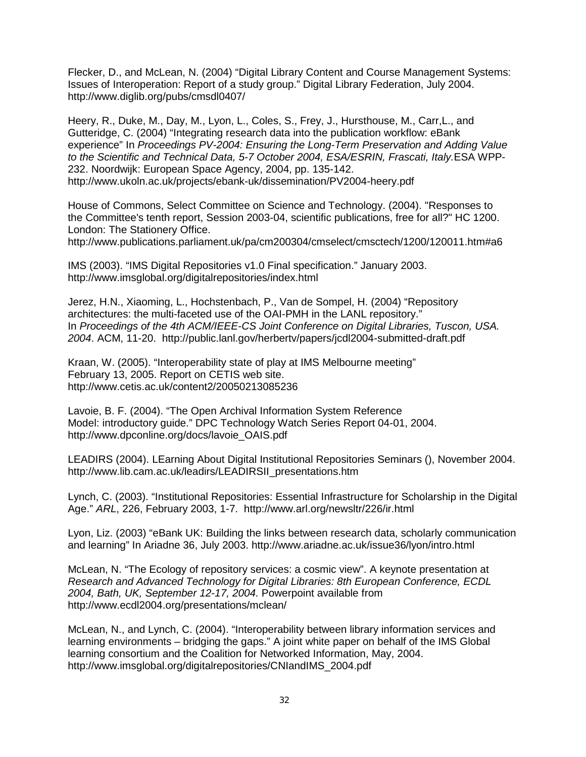Flecker, D., and McLean, N. (2004) "Digital Library Content and Course Management Systems: Issues of Interoperation: Report of a study group." Digital Library Federation, July 2004. http://www.diglib.org/pubs/cmsdl0407/

Heery, R., Duke, M., Day, M., Lyon, L., Coles, S., Frey, J., Hursthouse, M., Carr,L., and Gutteridge, C. (2004) "Integrating research data into the publication workflow: eBank experience" In *Proceedings PV-2004: Ensuring the Long-Term Preservation and Adding Value to the Scientific and Technical Data, 5-7 October 2004, ESA/ESRIN, Frascati, Italy.*ESA WPP-232. Noordwijk: European Space Agency, 2004, pp. 135-142. http://www.ukoln.ac.uk/projects/ebank-uk/dissemination/PV2004-heery.pdf

House of Commons, Select Committee on Science and Technology. (2004). "Responses to the Committee's tenth report, Session 2003-04, scientific publications, free for all?" HC 1200. London: The Stationery Office.

http://www.publications.parliament.uk/pa/cm200304/cmselect/cmsctech/1200/120011.htm#a6

IMS (2003). "IMS Digital Repositories v1.0 Final specification." January 2003. http://www.imsglobal.org/digitalrepositories/index.html

Jerez, H.N., Xiaoming, L., Hochstenbach, P., Van de Sompel, H. (2004) "Repository architectures: the multi-faceted use of the OAI-PMH in the LANL repository." In *Proceedings of the 4th ACM/IEEE-CS Joint Conference on Digital Libraries, Tuscon, USA. 2004*. ACM, 11-20. http://public.lanl.gov/herbertv/papers/jcdl2004-submitted-draft.pdf

Kraan, W. (2005). "Interoperability state of play at IMS Melbourne meeting" February 13, 2005. Report on CETIS web site. http://www.cetis.ac.uk/content2/20050213085236

Lavoie, B. F. (2004). "The Open Archival Information System Reference Model: introductory guide." DPC Technology Watch Series Report 04-01, 2004. http://www.dpconline.org/docs/lavoie\_OAIS.pdf

LEADIRS (2004). LEarning About Digital Institutional Repositories Seminars (), November 2004. http://www.lib.cam.ac.uk/leadirs/LEADIRSII\_presentations.htm

Lynch, C. (2003). "Institutional Repositories: Essential Infrastructure for Scholarship in the Digital Age." *ARL*, 226, February 2003, 1-7. http://www.arl.org/newsltr/226/ir.html

Lyon, Liz. (2003) "eBank UK: Building the links between research data, scholarly communication and learning" In Ariadne 36, July 2003. http://www.ariadne.ac.uk/issue36/lyon/intro.html

McLean, N. "The Ecology of repository services: a cosmic view". A keynote presentation at *Research and Advanced Technology for Digital Libraries: 8th European Conference, ECDL 2004, Bath, UK, September 12-17, 2004.* Powerpoint available from http://www.ecdl2004.org/presentations/mclean/

McLean, N., and Lynch, C. (2004). "Interoperability between library information services and learning environments – bridging the gaps." A joint white paper on behalf of the IMS Global learning consortium and the Coalition for Networked Information, May, 2004. http://www.imsglobal.org/digitalrepositories/CNIandIMS\_2004.pdf